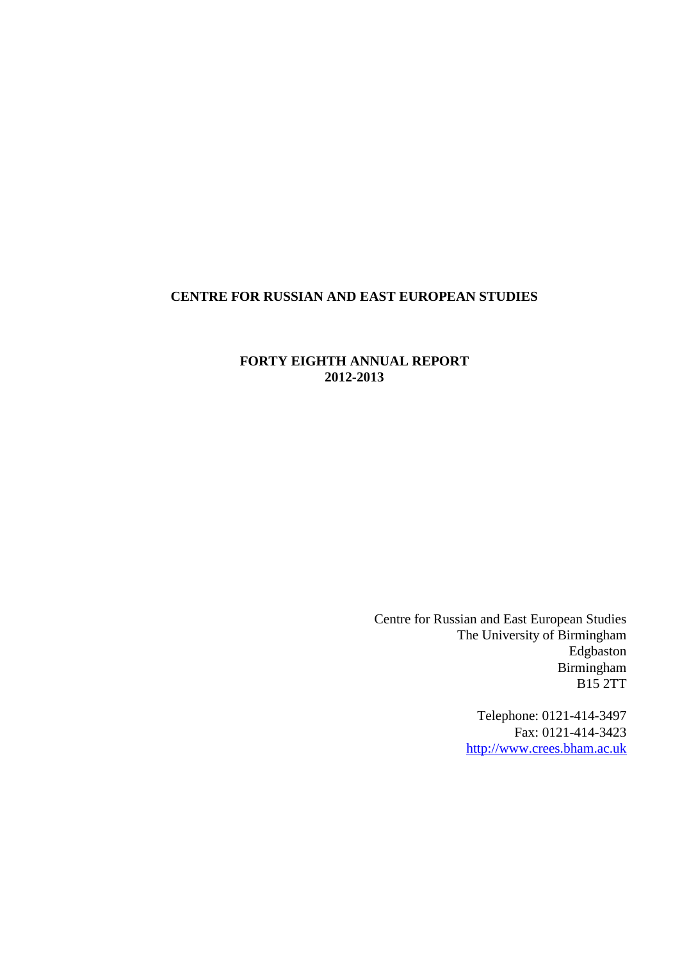# <span id="page-0-0"></span>**CENTRE FOR RUSSIAN AND EAST EUROPEAN STUDIES**

# **FORTY EIGHTH ANNUAL REPORT 2012-2013**

Centre for Russian and East European Studies The University of Birmingham Edgbaston Birmingham B15 2TT

> Telephone: 0121-414-3497 Fax: 0121-414-3423 [http://www.crees.bham.ac.uk](http://www.crees.bham.ac.uk/)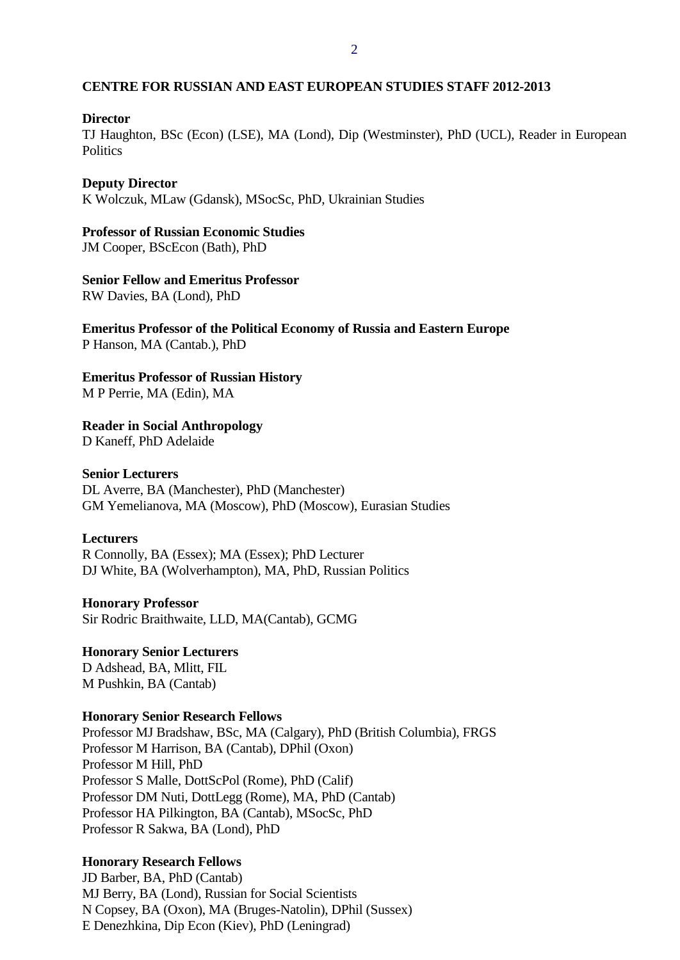#### **CENTRE FOR RUSSIAN AND EAST EUROPEAN STUDIES STAFF 2012-2013**

#### **Director**

TJ Haughton, BSc (Econ) (LSE), MA (Lond), Dip (Westminster), PhD (UCL), Reader in European **Politics** 

#### **Deputy Director**

K Wolczuk, MLaw (Gdansk), MSocSc, PhD, Ukrainian Studies

#### **Professor of Russian Economic Studies**

JM Cooper, BScEcon (Bath), PhD

#### **Senior Fellow and Emeritus Professor**

RW Davies, BA (Lond), PhD

#### **Emeritus Professor of the Political Economy of Russia and Eastern Europe** P Hanson, MA (Cantab.), PhD

**Emeritus Professor of Russian History**

M P Perrie, MA (Edin), MA

**Reader in Social Anthropology**

D Kaneff, PhD Adelaide

#### **Senior Lecturers**

DL Averre, BA (Manchester), PhD (Manchester) GM Yemelianova, MA (Moscow), PhD (Moscow), Eurasian Studies

#### **Lecturers**

R Connolly, BA (Essex); MA (Essex); PhD Lecturer DJ White, BA (Wolverhampton), MA, PhD, Russian Politics

**Honorary Professor** Sir Rodric Braithwaite, LLD, MA(Cantab), GCMG

**Honorary Senior Lecturers** D Adshead, BA, Mlitt, FIL M Pushkin, BA (Cantab)

#### **Honorary Senior Research Fellows**

Professor MJ Bradshaw, BSc, MA (Calgary), PhD (British Columbia), FRGS Professor M Harrison, BA (Cantab), DPhil (Oxon) Professor M Hill, PhD Professor S Malle, DottScPol (Rome), PhD (Calif) Professor DM Nuti, DottLegg (Rome), MA, PhD (Cantab) Professor HA Pilkington, BA (Cantab), MSocSc, PhD Professor R Sakwa, BA (Lond), PhD

#### **Honorary Research Fellows**

JD Barber, BA, PhD (Cantab) MJ Berry, BA (Lond), Russian for Social Scientists N Copsey, BA (Oxon), MA (Bruges-Natolin), DPhil (Sussex) E Denezhkina, Dip Econ (Kiev), PhD (Leningrad)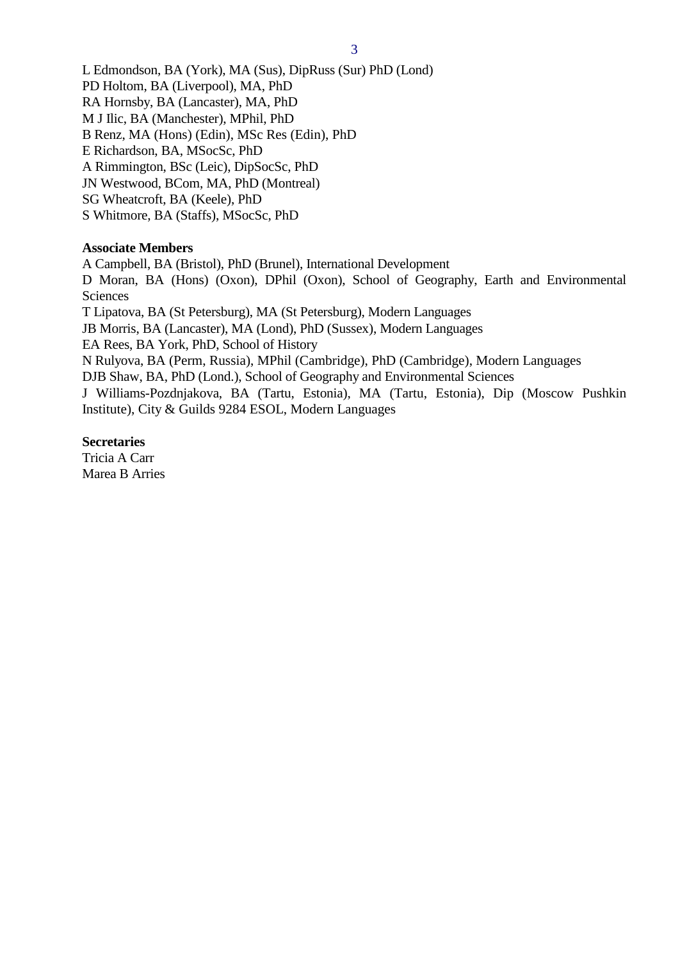L Edmondson, BA (York), MA (Sus), DipRuss (Sur) PhD (Lond) PD Holtom, BA (Liverpool), MA, PhD RA Hornsby, BA (Lancaster), MA, PhD M J Ilic, BA (Manchester), MPhil, PhD B Renz, MA (Hons) (Edin), MSc Res (Edin), PhD E Richardson, BA, MSocSc, PhD A Rimmington, BSc (Leic), DipSocSc, PhD JN Westwood, BCom, MA, PhD (Montreal) SG Wheatcroft, BA (Keele), PhD S Whitmore, BA (Staffs), MSocSc, PhD

#### **Associate Members**

A Campbell, BA (Bristol), PhD (Brunel), International Development

D Moran, BA (Hons) (Oxon), DPhil (Oxon), School of Geography, Earth and Environmental Sciences

T Lipatova, BA (St Petersburg), MA (St Petersburg), Modern Languages

JB Morris, BA (Lancaster), MA (Lond), PhD (Sussex), Modern Languages

EA Rees, BA York, PhD, School of History

N Rulyova, BA (Perm, Russia), MPhil (Cambridge), PhD (Cambridge), Modern Languages

DJB Shaw, BA, PhD (Lond.), School of Geography and Environmental Sciences

J Williams-Pozdnjakova, BA (Tartu, Estonia), MA (Tartu, Estonia), Dip (Moscow Pushkin Institute), City & Guilds 9284 ESOL, Modern Languages

#### **Secretaries**

Tricia A Carr Marea B Arries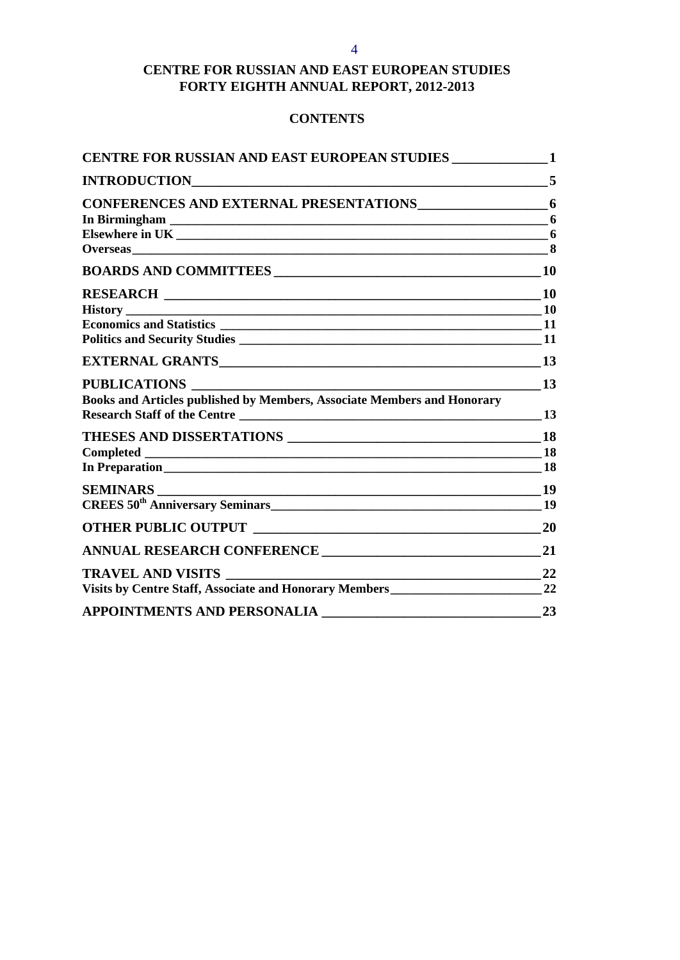#### 4

# **CENTRE FOR RUSSIAN AND EAST EUROPEAN STUDIES FORTY EIGHTH ANNUAL REPORT, 2012-2013**

# **CONTENTS**

| CENTRE FOR RUSSIAN AND EAST EUROPEAN STUDIES _______________1           |                 |
|-------------------------------------------------------------------------|-----------------|
|                                                                         | 5               |
| CONFERENCES AND EXTERNAL PRESENTATIONS 6                                |                 |
|                                                                         | 6               |
|                                                                         |                 |
|                                                                         |                 |
|                                                                         |                 |
|                                                                         |                 |
|                                                                         |                 |
|                                                                         |                 |
|                                                                         |                 |
|                                                                         | 13              |
| PUBLICATIONS                                                            | $\overline{13}$ |
| Books and Articles published by Members, Associate Members and Honorary |                 |
|                                                                         |                 |
|                                                                         |                 |
|                                                                         |                 |
|                                                                         |                 |
|                                                                         |                 |
| CREES 50 <sup>th</sup> Anniversary Seminars<br>19                       |                 |
|                                                                         |                 |
| ANNUAL RESEARCH CONFERENCE                                              | 21              |
| <b>TRAVEL AND VISITS</b>                                                | 22              |
|                                                                         |                 |
| <b>APPOINTMENTS AND PERSONALIA</b>                                      | 23              |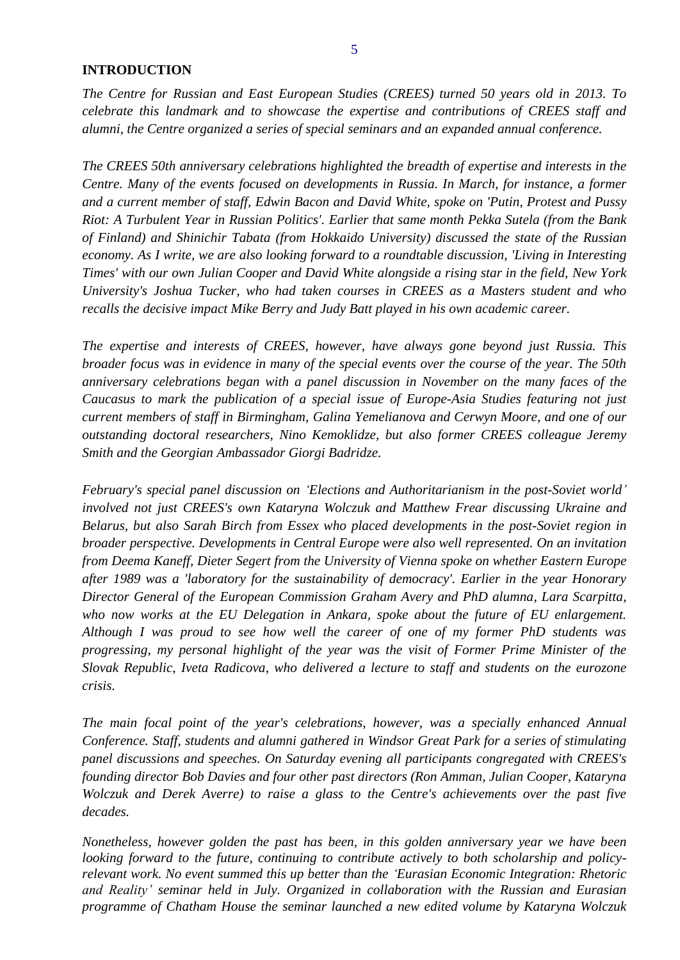#### <span id="page-4-0"></span>**INTRODUCTION**

*The Centre for Russian and East European Studies (CREES) turned 50 years old in 2013. To celebrate this landmark and to showcase the expertise and contributions of CREES staff and alumni, the Centre organized a series of special seminars and an expanded annual conference.* 

*The CREES 50th anniversary celebrations highlighted the breadth of expertise and interests in the Centre. Many of the events focused on developments in Russia. In March, for instance, a former and a current member of staff, Edwin Bacon and [David White,](http://www.birmingham.ac.uk/schools/government-society/departments/russian-east-european-studies/staff/profiles.aspx?ReferenceId=4533) spoke on 'Putin, Protest and Pussy Riot: A Turbulent Year in Russian Politics'. Earlier that same month Pekka Sutela (from the Bank of Finland) and Shinichir Tabata (from Hokkaido University) discussed the state of the Russian economy. As I write, we are also looking forward to a roundtable discussion, 'Living in Interesting Times' with our own Julian Cooper and David White alongside a rising star in the field, New York University's Joshua Tucker, who had taken courses in CREES as a Masters student and who recalls the decisive impact Mike Berry and Judy Batt played in his own academic career.* 

*The expertise and interests of CREES, however, have always gone beyond just Russia. This broader focus was in evidence in many of the special events over the course of the year. The 50th anniversary celebrations began with a panel discussion in November on the many faces of the Caucasus to mark the publication of a special issue of Europe-Asia Studies featuring not just current members of staff in Birmingham, [Galina Yemelianova](http://www.birmingham.ac.uk/schools/government-society/departments/russian-east-european-studies/staff/profiles.aspx?ReferenceId=4540) and [Cerwyn Moore,](http://www.birmingham.ac.uk/staff/profiles/government-society/moore-cerwyn.aspx) and one of our outstanding doctoral researchers, Nino Kemoklidze, but also former CREES colleague Jeremy Smith and the Georgian Ambassador Giorgi Badridze.* 

*February's special panel discussion on 'Elections and Authoritarianism in the post-Soviet world' involved not just CREES's own [Kataryna Wolczuk](http://www.birmingham.ac.uk/schools/government-society/departments/russian-east-european-studies/staff/profiles.aspx?ReferenceId=4538) and Matthew Frear discussing Ukraine and Belarus, but also Sarah Birch from Essex who placed developments in the post-Soviet region in broader perspective. Developments in Central Europe were also well represented. On an invitation from Deema Kaneff, Dieter Segert from the University of Vienna spoke on whether Eastern Europe after 1989 was a 'laboratory for the sustainability of democracy'. Earlier in the year Honorary Director General of the European Commission Graham Avery and PhD alumna, Lara Scarpitta, who now works at the EU Delegation in Ankara, spoke about the future of EU enlargement. Although I was proud to see how well the career of one of my former PhD students was progressing, my personal highlight of the year was the visit of Former Prime Minister of the Slovak Republic, Iveta Radicova, who delivered a lecture to staff and students on the eurozone crisis.*

*The main focal point of the year's celebrations, however, was a specially enhanced Annual [Conference.](http://www.birmingham.ac.uk/schools/government-society/departments/russian-east-european-studies/news/2013/07/50th-anniversary-annual-conference.aspx) Staff, students and alumni gathered in Windsor Great Park for a series of stimulating panel discussions and speeches. On Saturday evening all participants congregated with CREES's founding director Bob Davies and four other past directors (Ron Amman, Julian Cooper, Kataryna Wolczuk and Derek Averre) to raise a glass to the Centre's achievements over the past five decades.*

*Nonetheless, however golden the past has been, in this golden anniversary year we have been looking forward to the future, continuing to contribute actively to both scholarship and policyrelevant work. No event summed this up better than the 'Eurasian Economic Integration: Rhetoric and Reality' seminar held in July. Organized in collaboration with the Russian and Eurasian programme of Chatham House the seminar launched a new edited volume by Kataryna Wolczuk*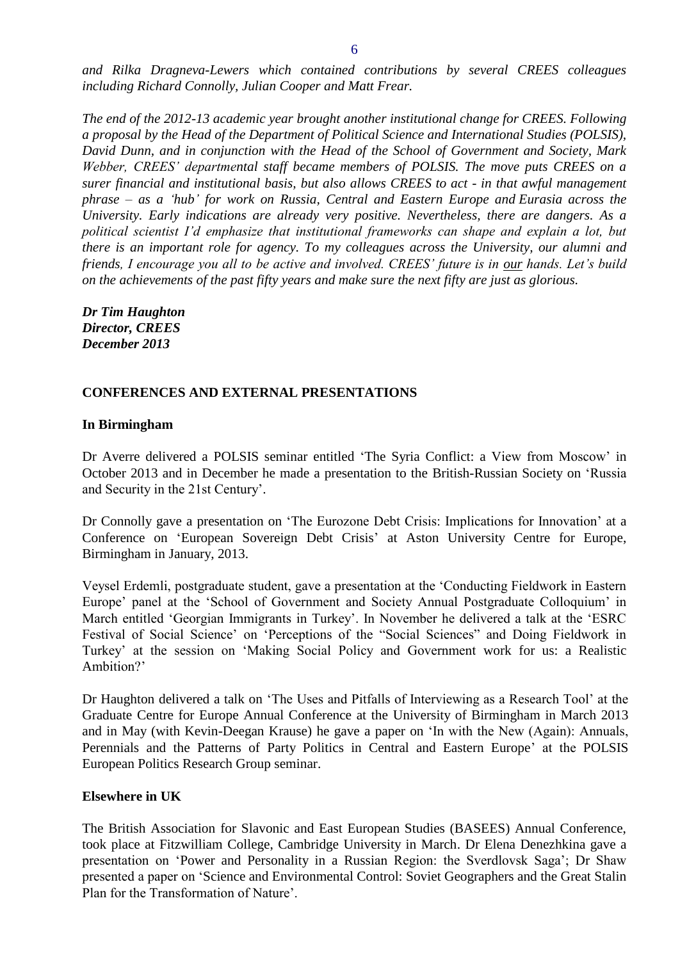*and Rilka Dragneva-Lewers which contained contributions by several CREES colleagues including Richard Connolly, Julian Cooper and Matt Frear.* 

*The end of the 2012-13 academic year brought another institutional change for CREES. Following a proposal by the Head of the Department of Political Science and International Studies (POLSIS), David Dunn, and in conjunction with the Head of the School of Government and Society, Mark Webber, CREES' departmental staff became members of POLSIS. The move puts CREES on a surer financial and institutional basis, but also allows CREES to act - in that awful management phrase – as a 'hub' for work on Russia, Central and Eastern Europe and Eurasia across the University. Early indications are already very positive. Nevertheless, there are dangers. As a political scientist I'd emphasize that institutional frameworks can shape and explain a lot, but there is an important role for agency. To my colleagues across the University, our alumni and friends, I encourage you all to be active and involved. CREES' future is in our hands. Let's build on the achievements of the past fifty years and make sure the next fifty are just as glorious.* 

*Dr Tim Haughton Director, CREES December 2013* 

#### <span id="page-5-0"></span>**CONFERENCES AND EXTERNAL PRESENTATIONS**

#### <span id="page-5-1"></span>**In Birmingham**

Dr Averre delivered a POLSIS seminar entitled 'The Syria Conflict: a View from Moscow' in October 2013 and in December he made a presentation to the British-Russian Society on 'Russia and Security in the 21st Century'.

Dr Connolly gave a presentation on 'The Eurozone Debt Crisis: Implications for Innovation' at a Conference on 'European Sovereign Debt Crisis' at Aston University Centre for Europe, Birmingham in January, 2013.

Veysel Erdemli, postgraduate student, gave a presentation at the 'Conducting Fieldwork in Eastern Europe' panel at the 'School of Government and Society Annual Postgraduate Colloquium' in March entitled 'Georgian Immigrants in Turkey'. In November he delivered a talk at the 'ESRC Festival of Social Science' on 'Perceptions of the "Social Sciences" and Doing Fieldwork in Turkey' at the session on 'Making Social Policy and Government work for us: a Realistic Ambition?'

Dr Haughton delivered a talk on 'The Uses and Pitfalls of Interviewing as a Research Tool' at the Graduate Centre for Europe Annual Conference at the University of Birmingham in March 2013 and in May (with Kevin-Deegan Krause) he gave a paper on 'In with the New (Again): Annuals, Perennials and the Patterns of Party Politics in Central and Eastern Europe' at the POLSIS European Politics Research Group seminar.

#### <span id="page-5-2"></span>**Elsewhere in UK**

The British Association for Slavonic and East European Studies (BASEES) Annual Conference, took place at Fitzwilliam College, Cambridge University in March. Dr Elena Denezhkina gave a presentation on 'Power and Personality in a Russian Region: the Sverdlovsk Saga'; Dr Shaw presented a paper on 'Science and Environmental Control: Soviet Geographers and the Great Stalin Plan for the Transformation of Nature'.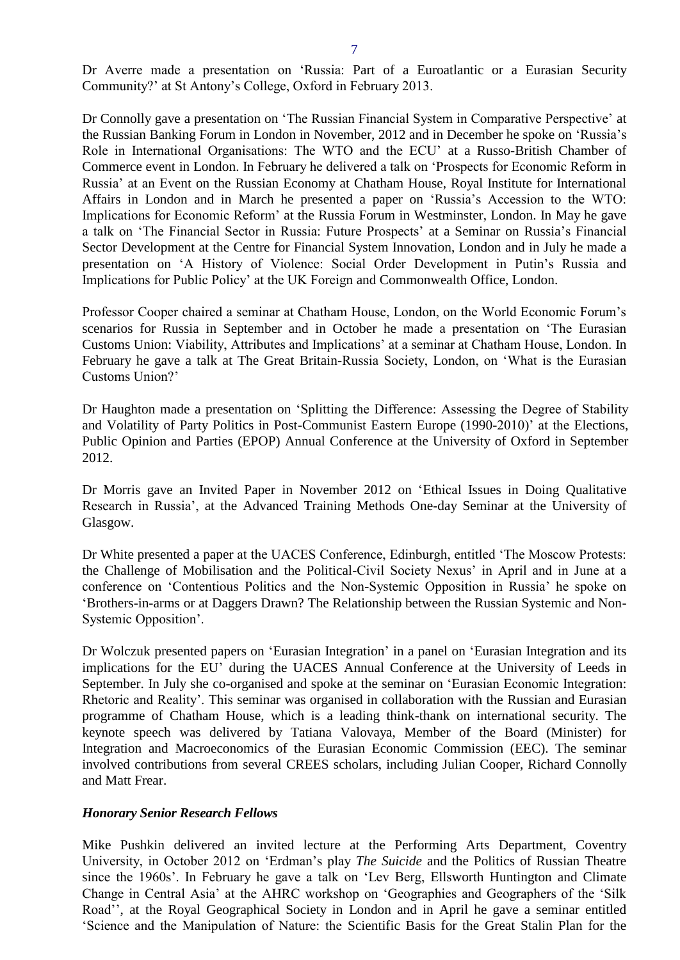Dr Averre made a presentation on 'Russia: Part of a Euroatlantic or a Eurasian Security Community?' at St Antony's College, Oxford in February 2013.

Dr Connolly gave a presentation on 'The Russian Financial System in Comparative Perspective' at the Russian Banking Forum in London in November, 2012 and in December he spoke on 'Russia's Role in International Organisations: The WTO and the ECU' at a Russo-British Chamber of Commerce event in London. In February he delivered a talk on 'Prospects for Economic Reform in Russia' at an Event on the Russian Economy at Chatham House, Royal Institute for International Affairs in London and in March he presented a paper on 'Russia's Accession to the WTO: Implications for Economic Reform' at the Russia Forum in Westminster, London. In May he gave a talk on 'The Financial Sector in Russia: Future Prospects' at a Seminar on Russia's Financial Sector Development at the Centre for Financial System Innovation, London and in July he made a presentation on 'A History of Violence: Social Order Development in Putin's Russia and Implications for Public Policy' at the UK Foreign and Commonwealth Office, London.

Professor Cooper chaired a seminar at Chatham House, London, on the World Economic Forum's scenarios for Russia in September and in October he made a presentation on 'The Eurasian Customs Union: Viability, Attributes and Implications' at a seminar at Chatham House, London. In February he gave a talk at The Great Britain-Russia Society, London, on 'What is the Eurasian Customs Union?'

Dr Haughton made a presentation on 'Splitting the Difference: Assessing the Degree of Stability and Volatility of Party Politics in Post-Communist Eastern Europe (1990-2010)' at the Elections, Public Opinion and Parties (EPOP) Annual Conference at the University of Oxford in September 2012.

Dr Morris gave an Invited Paper in November 2012 on 'Ethical Issues in Doing Qualitative Research in Russia', at the Advanced Training Methods One-day Seminar at the University of Glasgow.

Dr White presented a paper at the UACES Conference, Edinburgh, entitled 'The Moscow Protests: the Challenge of Mobilisation and the Political-Civil Society Nexus' in April and in June at a conference on 'Contentious Politics and the Non-Systemic Opposition in Russia' he spoke on 'Brothers-in-arms or at Daggers Drawn? The Relationship between the Russian Systemic and Non-Systemic Opposition'.

Dr Wolczuk presented papers on 'Eurasian Integration' in a panel on 'Eurasian Integration and its implications for the EU' during the UACES Annual Conference at the University of Leeds in September. In July she co-organised and spoke at the seminar on 'Eurasian Economic Integration: Rhetoric and Reality'. This seminar was organised in collaboration with the Russian and Eurasian programme of Chatham House, which is a leading think-thank on international security. The keynote speech was delivered by Tatiana Valovaya, Member of the Board (Minister) for Integration and Macroeconomics of the Eurasian Economic Commission (EEC). The seminar involved contributions from several CREES scholars, including Julian Cooper, Richard Connolly and Matt Frear.

#### *Honorary Senior Research Fellows*

Mike Pushkin delivered an invited lecture at the Performing Arts Department, Coventry University, in October 2012 on 'Erdman's play *The Suicide* and the Politics of Russian Theatre since the 1960s'. In February he gave a talk on 'Lev Berg, Ellsworth Huntington and Climate Change in Central Asia' at the AHRC workshop on 'Geographies and Geographers of the 'Silk Road'', at the Royal Geographical Society in London and in April he gave a seminar entitled 'Science and the Manipulation of Nature: the Scientific Basis for the Great Stalin Plan for the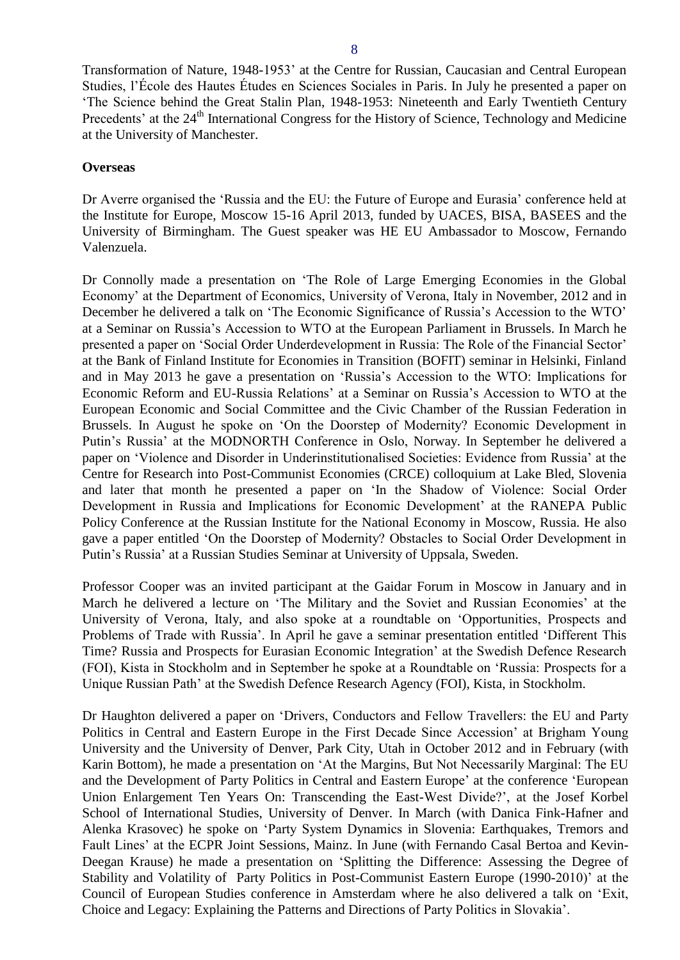Transformation of Nature, 1948-1953' at the Centre for Russian, Caucasian and Central European Studies, l'École des Hautes Études en Sciences Sociales in Paris. In July he presented a paper on 'The Science behind the Great Stalin Plan, 1948-1953: Nineteenth and Early Twentieth Century Precedents' at the 24<sup>th</sup> International Congress for the History of Science, Technology and Medicine at the University of Manchester.

#### <span id="page-7-0"></span>**Overseas**

Dr Averre organised the 'Russia and the EU: the Future of Europe and Eurasia' conference held at the Institute for Europe, Moscow 15-16 April 2013, funded by UACES, BISA, BASEES and the University of Birmingham. The Guest speaker was HE EU Ambassador to Moscow, Fernando Valenzuela.

Dr Connolly made a presentation on 'The Role of Large Emerging Economies in the Global Economy' at the Department of Economics, University of Verona, Italy in November, 2012 and in December he delivered a talk on 'The Economic Significance of Russia's Accession to the WTO' at a Seminar on Russia's Accession to WTO at the European Parliament in Brussels. In March he presented a paper on 'Social Order Underdevelopment in Russia: The Role of the Financial Sector' at the Bank of Finland Institute for Economies in Transition (BOFIT) seminar in Helsinki, Finland and in May 2013 he gave a presentation on 'Russia's Accession to the WTO: Implications for Economic Reform and EU-Russia Relations' at a Seminar on Russia's Accession to WTO at the European Economic and Social Committee and the Civic Chamber of the Russian Federation in Brussels. In August he spoke on 'On the Doorstep of Modernity? Economic Development in Putin's Russia' at the MODNORTH Conference in Oslo, Norway. In September he delivered a paper on 'Violence and Disorder in Underinstitutionalised Societies: Evidence from Russia' at the Centre for Research into Post-Communist Economies (CRCE) colloquium at Lake Bled, Slovenia and later that month he presented a paper on 'In the Shadow of Violence: Social Order Development in Russia and Implications for Economic Development' at the RANEPA Public Policy Conference at the Russian Institute for the National Economy in Moscow, Russia. He also gave a paper entitled 'On the Doorstep of Modernity? Obstacles to Social Order Development in Putin's Russia' at a Russian Studies Seminar at University of Uppsala, Sweden.

Professor Cooper was an invited participant at the Gaidar Forum in Moscow in January and in March he delivered a lecture on 'The Military and the Soviet and Russian Economies' at the University of Verona, Italy, and also spoke at a roundtable on 'Opportunities, Prospects and Problems of Trade with Russia'. In April he gave a seminar presentation entitled 'Different This Time? Russia and Prospects for Eurasian Economic Integration' at the Swedish Defence Research (FOI), Kista in Stockholm and in September he spoke at a Roundtable on 'Russia: Prospects for a Unique Russian Path' at the Swedish Defence Research Agency (FOI), Kista, in Stockholm.

Dr Haughton delivered a paper on 'Drivers, Conductors and Fellow Travellers: the EU and Party Politics in Central and Eastern Europe in the First Decade Since Accession' at Brigham Young University and the University of Denver, Park City, Utah in October 2012 and in February (with Karin Bottom), he made a presentation on 'At the Margins, But Not Necessarily Marginal: The EU and the Development of Party Politics in Central and Eastern Europe' at the conference 'European Union Enlargement Ten Years On: Transcending the East-West Divide?', at the Josef Korbel School of International Studies, University of Denver. In March (with Danica Fink-Hafner and Alenka Krasovec) he spoke on 'Party System Dynamics in Slovenia: Earthquakes, Tremors and Fault Lines' at the ECPR Joint Sessions, Mainz. In June (with Fernando Casal Bertoa and Kevin-Deegan Krause) he made a presentation on 'Splitting the Difference: Assessing the Degree of Stability and Volatility of Party Politics in Post-Communist Eastern Europe (1990-2010)' at the Council of European Studies conference in Amsterdam where he also delivered a talk on 'Exit, Choice and Legacy: Explaining the Patterns and Directions of Party Politics in Slovakia'.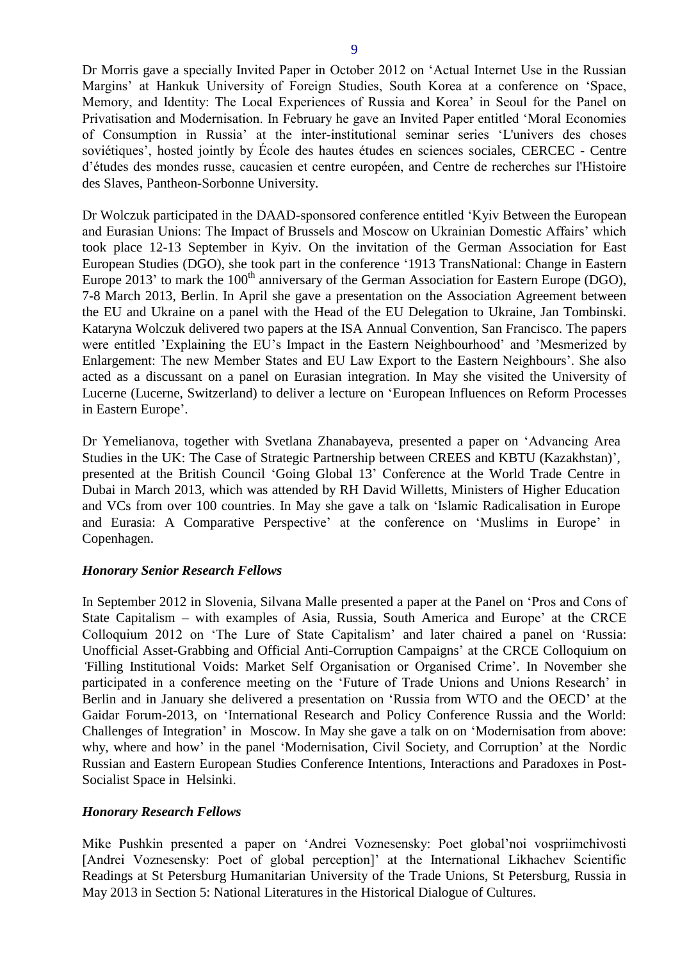Dr Morris gave a specially Invited Paper in October 2012 on 'Actual Internet Use in the Russian Margins' at Hankuk University of Foreign Studies, South Korea at a conference on 'Space, Memory, and Identity: The Local Experiences of Russia and Korea' in Seoul for the Panel on Privatisation and Modernisation. In February he gave an Invited Paper entitled 'Moral Economies of Consumption in Russia' at the inter-institutional seminar series 'L'univers des choses soviétiques', hosted jointly by École des hautes études en sciences sociales, CERCEC - Centre d'études des mondes russe, caucasien et centre européen, and Centre de recherches sur l'Histoire des Slaves, Pantheon-Sorbonne University.

Dr Wolczuk participated in the DAAD-sponsored conference entitled 'Kyiv Between the European and Eurasian Unions: The Impact of Brussels and Moscow on Ukrainian Domestic Affairs' which took place 12-13 September in Kyiv. On the invitation of the German Association for East European Studies (DGO), she took part in the conference '1913 TransNational: Change in Eastern Europe 2013' to mark the 100<sup>th</sup> anniversary of the German Association for Eastern Europe (DGO), 7-8 March 2013, Berlin. In April she gave a presentation on the Association Agreement between the EU and Ukraine on a panel with the Head of the EU Delegation to Ukraine, Jan Tombinski. Kataryna Wolczuk delivered two papers at the ISA Annual Convention, San Francisco. The papers were entitled 'Explaining the EU's Impact in the Eastern Neighbourhood' and 'Mesmerized by Enlargement: The new Member States and EU Law Export to the Eastern Neighbours'. She also acted as a discussant on a panel on Eurasian integration. In May she visited the University of Lucerne (Lucerne, Switzerland) to deliver a lecture on 'European Influences on Reform Processes in Eastern Europe'.

Dr Yemelianova, together with Svetlana Zhanabayeva, presented a paper on 'Advancing Area Studies in the UK: The Case of Strategic Partnership between CREES and KBTU (Kazakhstan)', presented at the British Council 'Going Global 13' Conference at the World Trade Centre in Dubai in March 2013, which was attended by RH David Willetts, Ministers of Higher Education and VCs from over 100 countries. In May she gave a talk on 'Islamic Radicalisation in Europe and Eurasia: A Comparative Perspective' at the conference on 'Muslims in Europe' in Copenhagen.

#### *Honorary Senior Research Fellows*

In September 2012 in Slovenia, Silvana Malle presented a paper at the Panel on 'Pros and Cons of State Capitalism – with examples of Asia, Russia, South America and Europe' at the CRCE Colloquium 2012 on 'The Lure of State Capitalism' and later chaired a panel on 'Russia: Unofficial Asset-Grabbing and Official Anti-Corruption Campaigns' at the CRCE Colloquium on *'*Filling Institutional Voids: Market Self Organisation or Organised Crime'. In November she participated in a conference meeting on the 'Future of Trade Unions and Unions Research' in Berlin and in January she delivered a presentation on 'Russia from WTO and the OECD' at the Gaidar Forum-2013, on 'International Research and Policy Conference Russia and the World: Challenges of Integration' in Moscow. In May she gave a talk on on 'Modernisation from above: why, where and how' in the panel 'Modernisation, Civil Society, and Corruption' at the Nordic Russian and Eastern European Studies Conference Intentions, Interactions and Paradoxes in Post-Socialist Space in Helsinki.

#### *Honorary Research Fellows*

Mike Pushkin presented a paper on 'Andrei Voznesensky: Poet global'noi vospriimchivosti [Andrei Voznesensky: Poet of global perception]' at the International Likhachev Scientific Readings at St Petersburg Humanitarian University of the Trade Unions, St Petersburg, Russia in May 2013 in Section 5: National Literatures in the Historical Dialogue of Cultures.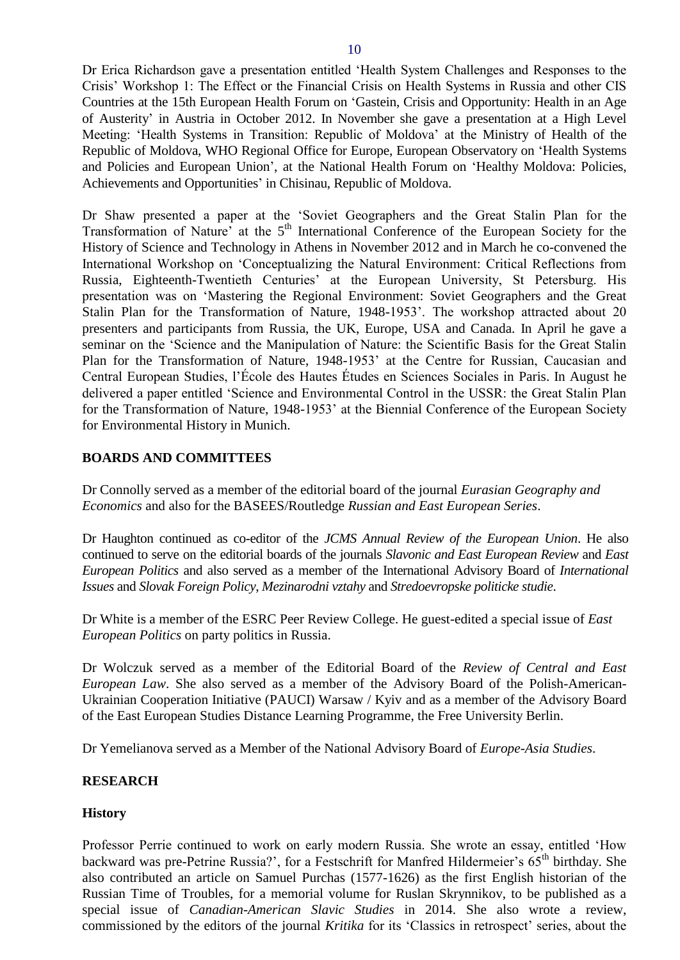Dr Erica Richardson gave a presentation entitled 'Health System Challenges and Responses to the Crisis' Workshop 1: The Effect or the Financial Crisis on Health Systems in Russia and other CIS Countries at the 15th European Health Forum on 'Gastein, Crisis and Opportunity: Health in an Age of Austerity' in Austria in October 2012. In November she gave a presentation at a High Level Meeting: 'Health Systems in Transition: Republic of Moldova' at the Ministry of Health of the Republic of Moldova, WHO Regional Office for Europe, European Observatory on 'Health Systems and Policies and European Union', at the National Health Forum on 'Healthy Moldova: Policies, Achievements and Opportunities' in Chisinau, Republic of Moldova.

Dr Shaw presented a paper at the 'Soviet Geographers and the Great Stalin Plan for the Transformation of Nature' at the 5<sup>th</sup> International Conference of the European Society for the History of Science and Technology in Athens in November 2012 and in March he co-convened the International Workshop on 'Conceptualizing the Natural Environment: Critical Reflections from Russia, Eighteenth-Twentieth Centuries' at the European University, St Petersburg. His presentation was on 'Mastering the Regional Environment: Soviet Geographers and the Great Stalin Plan for the Transformation of Nature, 1948-1953'. The workshop attracted about 20 presenters and participants from Russia, the UK, Europe, USA and Canada. In April he gave a seminar on the 'Science and the Manipulation of Nature: the Scientific Basis for the Great Stalin Plan for the Transformation of Nature, 1948-1953' at the Centre for Russian, Caucasian and Central European Studies, l'École des Hautes Études en Sciences Sociales in Paris. In August he delivered a paper entitled 'Science and Environmental Control in the USSR: the Great Stalin Plan for the Transformation of Nature, 1948-1953' at the Biennial Conference of the European Society for Environmental History in Munich.

#### <span id="page-9-0"></span>**BOARDS AND COMMITTEES**

Dr Connolly served as a member of the editorial board of the journal *Eurasian Geography and Economics* and also for the BASEES/Routledge *Russian and East European Series*.

Dr Haughton continued as co-editor of the *JCMS Annual Review of the European Union*. He also continued to serve on the editorial boards of the journals *Slavonic and East European Review* and *East European Politics* and also served as a member of the International Advisory Board of *International Issues* and *Slovak Foreign Policy*, *Mezinarodni vztahy* and *Stredoevropske politicke studie*.

Dr White is a member of the ESRC Peer Review College. He guest-edited a special issue of *East European Politics* on party politics in Russia.

Dr Wolczuk served as a member of the Editorial Board of the *Review of Central and East European Law*. She also served as a member of the Advisory Board of the Polish-American-Ukrainian Cooperation Initiative (PAUCI) Warsaw / Kyiv and as a member of the Advisory Board of the East European Studies Distance Learning Programme, the Free University Berlin.

Dr Yemelianova served as a Member of the National Advisory Board of *Europe-Asia Studies*.

#### <span id="page-9-1"></span>**RESEARCH**

#### <span id="page-9-2"></span>**History**

Professor Perrie continued to work on early modern Russia. She wrote an essay, entitled 'How backward was pre-Petrine Russia?', for a Festschrift for Manfred Hildermeier's 65<sup>th</sup> birthday. She also contributed an article on Samuel Purchas (1577-1626) as the first English historian of the Russian Time of Troubles, for a memorial volume for Ruslan Skrynnikov, to be published as a special issue of *Canadian-American Slavic Studies* in 2014. She also wrote a review, commissioned by the editors of the journal *Kritika* for its 'Classics in retrospect' series, about the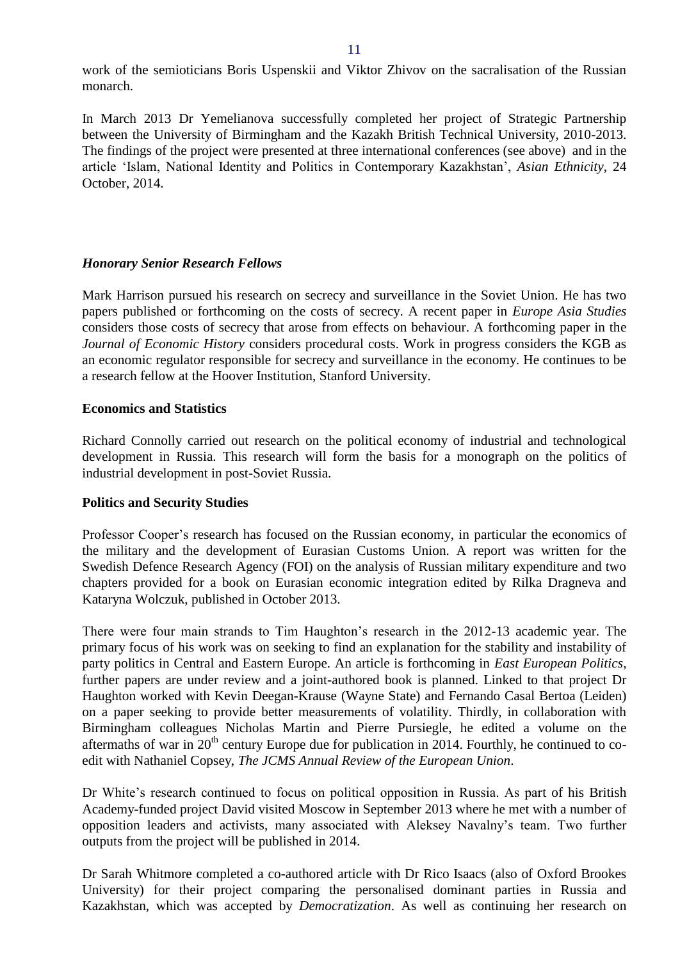work of the semioticians Boris Uspenskii and Viktor Zhivov on the sacralisation of the Russian monarch.

In March 2013 Dr Yemelianova successfully completed her project of Strategic Partnership between the University of Birmingham and the Kazakh British Technical University, 2010-2013. The findings of the project were presented at three international conferences (see above) and in the article 'Islam, National Identity and Politics in Contemporary Kazakhstan', *Asian Ethnicity*, 24 October, 2014.

#### *Honorary Senior Research Fellows*

Mark Harrison pursued his research on secrecy and surveillance in the Soviet Union. He has two papers published or forthcoming on the costs of secrecy. A recent paper in *Europe Asia Studies* considers those costs of secrecy that arose from effects on behaviour. A forthcoming paper in the *Journal of Economic History* considers procedural costs. Work in progress considers the KGB as an economic regulator responsible for secrecy and surveillance in the economy. He continues to be a research fellow at the Hoover Institution, Stanford University.

#### <span id="page-10-0"></span>**Economics and Statistics**

Richard Connolly carried out research on the political economy of industrial and technological development in Russia. This research will form the basis for a monograph on the politics of industrial development in post-Soviet Russia.

# <span id="page-10-1"></span>**Politics and Security Studies**

Professor Cooper's research has focused on the Russian economy, in particular the economics of the military and the development of Eurasian Customs Union. A report was written for the Swedish Defence Research Agency (FOI) on the analysis of Russian military expenditure and two chapters provided for a book on Eurasian economic integration edited by Rilka Dragneva and Kataryna Wolczuk, published in October 2013.

There were four main strands to Tim Haughton's research in the 2012-13 academic year. The primary focus of his work was on seeking to find an explanation for the stability and instability of party politics in Central and Eastern Europe. An article is forthcoming in *East European Politics*, further papers are under review and a joint-authored book is planned. Linked to that project Dr Haughton worked with Kevin Deegan-Krause (Wayne State) and Fernando Casal Bertoa (Leiden) on a paper seeking to provide better measurements of volatility. Thirdly, in collaboration with Birmingham colleagues Nicholas Martin and Pierre Pursiegle, he edited a volume on the aftermaths of war in  $20<sup>th</sup>$  century Europe due for publication in 2014. Fourthly, he continued to coedit with Nathaniel Copsey, *The JCMS Annual Review of the European Union*.

Dr White's research continued to focus on political opposition in Russia. As part of his British Academy-funded project David visited Moscow in September 2013 where he met with a number of opposition leaders and activists, many associated with Aleksey Navalny's team. Two further outputs from the project will be published in 2014.

Dr Sarah Whitmore completed a co-authored article with Dr Rico Isaacs (also of Oxford Brookes University) for their project comparing the personalised dominant parties in Russia and Kazakhstan, which was accepted by *Democratization*. As well as continuing her research on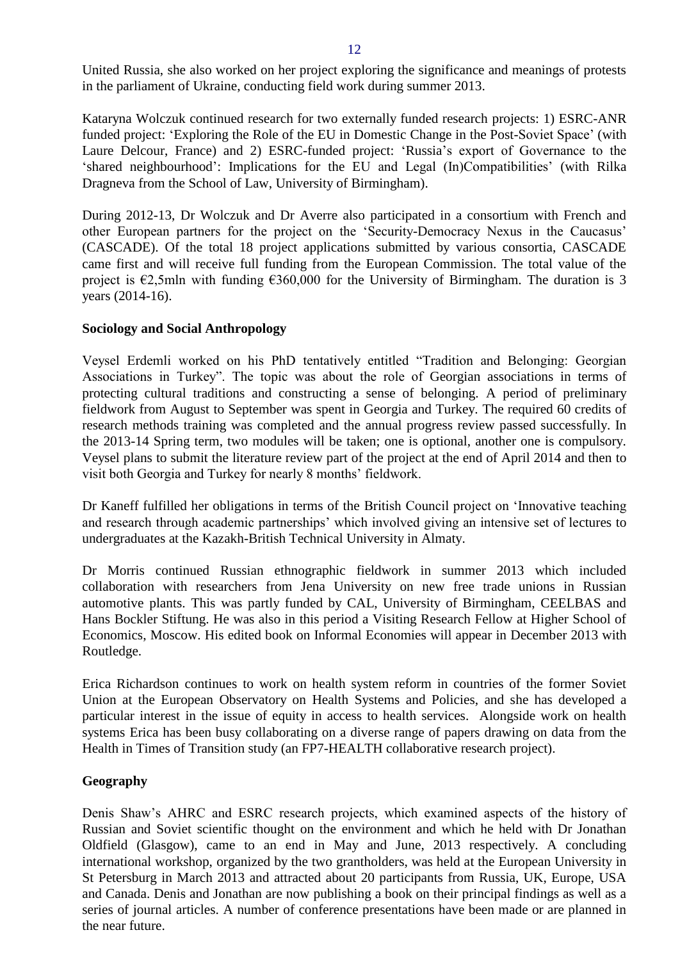United Russia, she also worked on her project exploring the significance and meanings of protests in the parliament of Ukraine, conducting field work during summer 2013.

Kataryna Wolczuk continued research for two externally funded research projects: 1) ESRC-ANR funded project: 'Exploring the Role of the EU in Domestic Change in the Post-Soviet Space' (with Laure Delcour, France) and 2) ESRC-funded project: 'Russia's export of Governance to the 'shared neighbourhood': Implications for the EU and Legal (In)Compatibilities' (with Rilka Dragneva from the School of Law, University of Birmingham).

During 2012-13, Dr Wolczuk and Dr Averre also participated in a consortium with French and other European partners for the project on the 'Security-Democracy Nexus in the Caucasus' (CASCADE). Of the total 18 project applications submitted by various consortia, CASCADE came first and will receive full funding from the European Commission. The total value of the project is  $\epsilon$ 2,5mln with funding  $\epsilon$ 360,000 for the University of Birmingham. The duration is 3 years (2014-16).

#### **Sociology and Social Anthropology**

Veysel Erdemli worked on his PhD tentatively entitled "Tradition and Belonging: Georgian Associations in Turkey". The topic was about the role of Georgian associations in terms of protecting cultural traditions and constructing a sense of belonging. A period of preliminary fieldwork from August to September was spent in Georgia and Turkey. The required 60 credits of research methods training was completed and the annual progress review passed successfully. In the 2013-14 Spring term, two modules will be taken; one is optional, another one is compulsory. Veysel plans to submit the literature review part of the project at the end of April 2014 and then to visit both Georgia and Turkey for nearly 8 months' fieldwork.

Dr Kaneff fulfilled her obligations in terms of the British Council project on 'Innovative teaching and research through academic partnerships' which involved giving an intensive set of lectures to undergraduates at the Kazakh-British Technical University in Almaty.

Dr Morris continued Russian ethnographic fieldwork in summer 2013 which included collaboration with researchers from Jena University on new free trade unions in Russian automotive plants. This was partly funded by CAL, University of Birmingham, CEELBAS and Hans Bockler Stiftung. He was also in this period a Visiting Research Fellow at Higher School of Economics, Moscow. His edited book on Informal Economies will appear in December 2013 with Routledge.

Erica Richardson continues to work on health system reform in countries of the former Soviet Union at the European Observatory on Health Systems and Policies, and she has developed a particular interest in the issue of equity in access to health services. Alongside work on health systems Erica has been busy collaborating on a diverse range of papers drawing on data from the Health in Times of Transition study (an FP7-HEALTH collaborative research project).

#### **Geography**

Denis Shaw's AHRC and ESRC research projects, which examined aspects of the history of Russian and Soviet scientific thought on the environment and which he held with Dr Jonathan Oldfield (Glasgow), came to an end in May and June, 2013 respectively. A concluding international workshop, organized by the two grantholders, was held at the European University in St Petersburg in March 2013 and attracted about 20 participants from Russia, UK, Europe, USA and Canada. Denis and Jonathan are now publishing a book on their principal findings as well as a series of journal articles. A number of conference presentations have been made or are planned in the near future.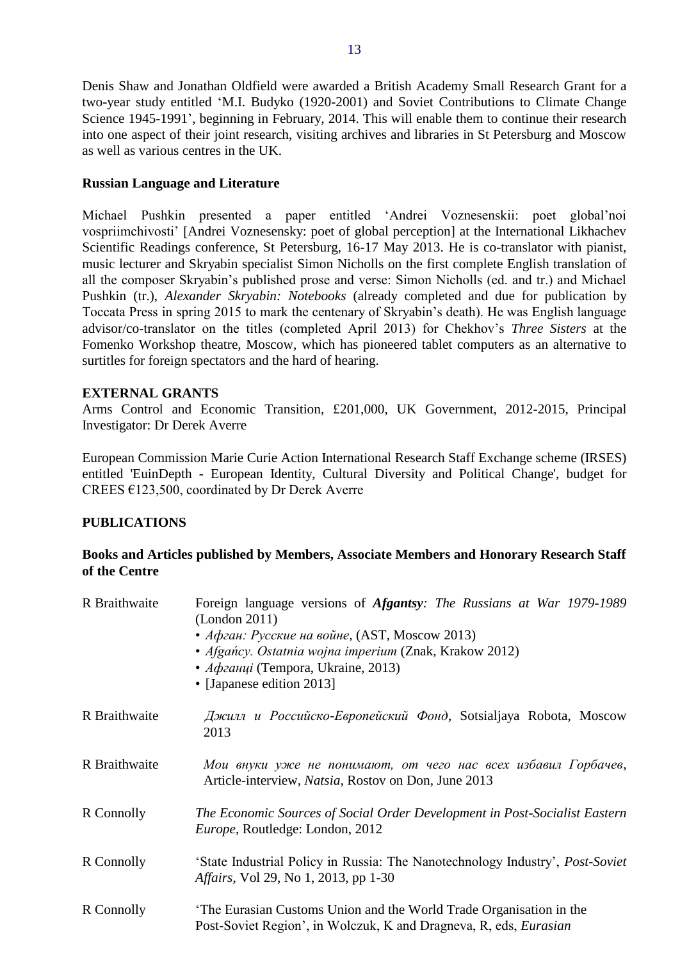Denis Shaw and Jonathan Oldfield were awarded a British Academy Small Research Grant for a two-year study entitled 'M.I. Budyko (1920-2001) and Soviet Contributions to Climate Change Science 1945-1991', beginning in February, 2014. This will enable them to continue their research into one aspect of their joint research, visiting archives and libraries in St Petersburg and Moscow as well as various centres in the UK.

#### **Russian Language and Literature**

Michael Pushkin presented a paper entitled 'Andrei Voznesenskii: poet global'noi vospriimchivosti' [Andrei Voznesensky: poet of global perception] at the International Likhachev Scientific Readings conference, St Petersburg, 16-17 May 2013. He is co-translator with pianist, music lecturer and Skryabin specialist Simon Nicholls on the first complete English translation of all the composer Skryabin's published prose and verse: Simon Nicholls (ed. and tr.) and Michael Pushkin (tr.), *Alexander Skryabin: Notebooks* (already completed and due for publication by Toccata Press in spring 2015 to mark the centenary of Skryabin's death). He was English language advisor/co-translator on the titles (completed April 2013) for Chekhov's *Three Sisters* at the Fomenko Workshop theatre, Moscow, which has pioneered tablet computers as an alternative to surtitles for foreign spectators and the hard of hearing.

#### <span id="page-12-0"></span>**EXTERNAL GRANTS**

Arms Control and Economic Transition, £201,000, UK Government, 2012-2015, Principal Investigator: Dr Derek Averre

European Commission Marie Curie Action International Research Staff Exchange scheme (IRSES) entitled 'EuinDepth - European Identity, Cultural Diversity and Political Change', budget for CREES €123,500, coordinated by Dr Derek Averre

# <span id="page-12-1"></span>**PUBLICATIONS**

# <span id="page-12-2"></span>**Books and Articles published by Members, Associate Members and Honorary Research Staff of the Centre**

| R Braithwaite | Foreign language versions of <i>Afgantsy: The Russians at War 1979-1989</i><br>(London 2011)<br>• Афган: Русские на войне, (AST, Moscow 2013)<br>• Afgańcy. Ostatnia wojna imperium (Znak, Krakow 2012)<br>• Афганці (Tempora, Ukraine, 2013)<br>• [Japanese edition 2013] |
|---------------|----------------------------------------------------------------------------------------------------------------------------------------------------------------------------------------------------------------------------------------------------------------------------|
| R Braithwaite | Джилл и Российско-Европейский Фонд, Sotsialjaya Robota, Moscow<br>2013                                                                                                                                                                                                     |
| R Braithwaite | Мои внуки уже не понимают, от чего нас всех избавил Горбачев,<br>Article-interview, <i>Natsia</i> , Rostov on Don, June 2013                                                                                                                                               |
| R Connolly    | The Economic Sources of Social Order Development in Post-Socialist Eastern<br><i>Europe</i> , Routledge: London, 2012                                                                                                                                                      |
| R Connolly    | 'State Industrial Policy in Russia: The Nanotechnology Industry', <i>Post-Soviet</i><br><i>Affairs</i> , Vol 29, No 1, 2013, pp 1-30                                                                                                                                       |
| R Connolly    | 'The Eurasian Customs Union and the World Trade Organisation in the<br>Post-Soviet Region', in Wolczuk, K and Dragneva, R, eds, <i>Eurasian</i>                                                                                                                            |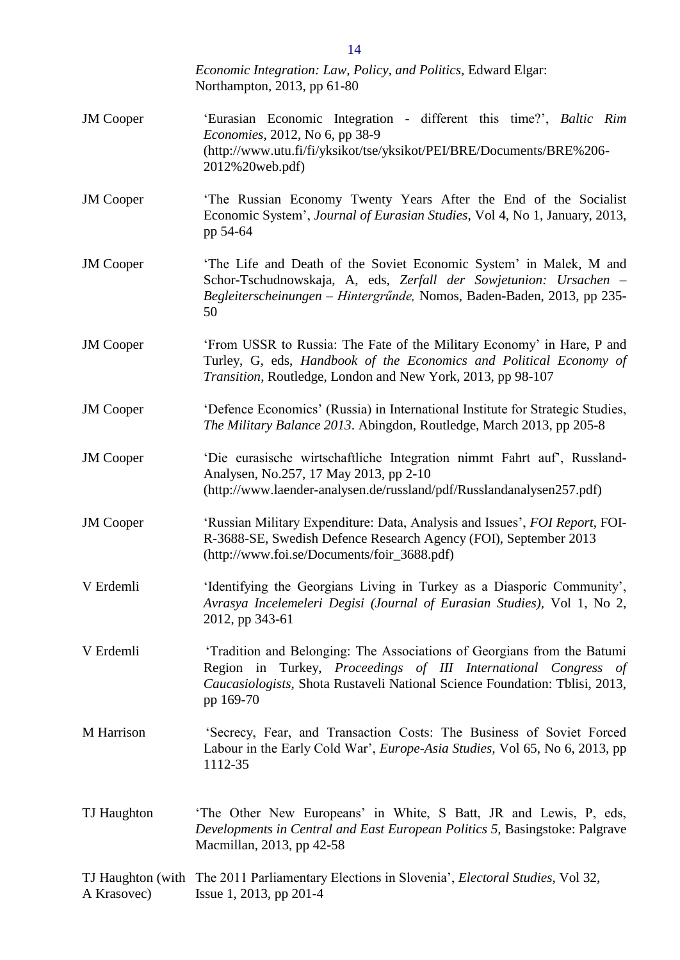|                                  | Economic Integration: Law, Policy, and Politics, Edward Elgar:<br>Northampton, 2013, pp 61-80                                                                                                                                         |
|----------------------------------|---------------------------------------------------------------------------------------------------------------------------------------------------------------------------------------------------------------------------------------|
| <b>JM</b> Cooper                 | 'Eurasian Economic Integration - different this time?', Baltic Rim<br><i>Economies</i> , 2012, No 6, pp 38-9<br>(http://www.utu.fi/fi/yksikot/tse/yksikot/PEI/BRE/Documents/BRE%206-<br>2012%20web.pdf)                               |
| <b>JM</b> Cooper                 | 'The Russian Economy Twenty Years After the End of the Socialist<br>Economic System', Journal of Eurasian Studies, Vol 4, No 1, January, 2013,<br>pp 54-64                                                                            |
| <b>JM</b> Cooper                 | 'The Life and Death of the Soviet Economic System' in Malek, M and<br>Schor-Tschudnowskaja, A, eds, Zerfall der Sowjetunion: Ursachen -<br>Begleiterscheinungen – Hintergründe, Nomos, Baden-Baden, 2013, pp 235-<br>50               |
| <b>JM</b> Cooper                 | 'From USSR to Russia: The Fate of the Military Economy' in Hare, P and<br>Turley, G, eds, Handbook of the Economics and Political Economy of<br>Transition, Routledge, London and New York, 2013, pp 98-107                           |
| <b>JM</b> Cooper                 | 'Defence Economics' (Russia) in International Institute for Strategic Studies,<br>The Military Balance 2013. Abingdon, Routledge, March 2013, pp 205-8                                                                                |
| <b>JM</b> Cooper                 | 'Die eurasische wirtschaftliche Integration nimmt Fahrt auf', Russland-<br>Analysen, No.257, 17 May 2013, pp 2-10<br>(http://www.laender-analysen.de/russland/pdf/Russlandanalysen257.pdf)                                            |
| <b>JM</b> Cooper                 | 'Russian Military Expenditure: Data, Analysis and Issues', FOI Report, FOI-<br>R-3688-SE, Swedish Defence Research Agency (FOI), September 2013<br>(http://www.foi.se/Documents/foir_3688.pdf)                                        |
| V Erdemli                        | 'Identifying the Georgians Living in Turkey as a Diasporic Community',<br>Avrasya Incelemeleri Degisi (Journal of Eurasian Studies), Vol 1, No 2,<br>2012, pp 343-61                                                                  |
| V Erdemli                        | 'Tradition and Belonging: The Associations of Georgians from the Batumi<br>Region in Turkey, Proceedings of III International Congress of<br>Caucasiologists, Shota Rustaveli National Science Foundation: Tblisi, 2013,<br>pp 169-70 |
| M Harrison                       | 'Secrecy, Fear, and Transaction Costs: The Business of Soviet Forced<br>Labour in the Early Cold War', <i>Europe-Asia Studies</i> , Vol 65, No 6, 2013, pp<br>1112-35                                                                 |
| TJ Haughton                      | The Other New Europeans' in White, S Batt, JR and Lewis, P, eds,<br>Developments in Central and East European Politics 5, Basingstoke: Palgrave<br>Macmillan, 2013, pp 42-58                                                          |
| TJ Haughton (with<br>A Krasovec) | The 2011 Parliamentary Elections in Slovenia', <i>Electoral Studies</i> , Vol 32,<br>Issue 1, 2013, pp 201-4                                                                                                                          |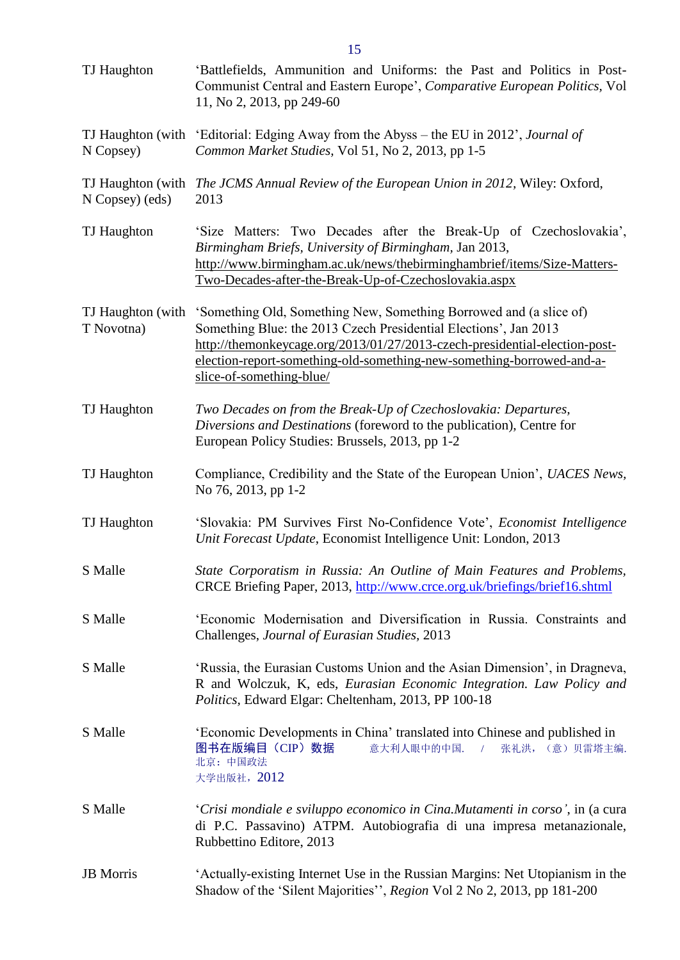| TJ Haughton                     | 'Battlefields, Ammunition and Uniforms: the Past and Politics in Post-<br>Communist Central and Eastern Europe', <i>Comparative European Politics</i> , Vol<br>11, No 2, 2013, pp 249-60                                                                                                                                  |
|---------------------------------|---------------------------------------------------------------------------------------------------------------------------------------------------------------------------------------------------------------------------------------------------------------------------------------------------------------------------|
| TJ Haughton (with<br>N Copsey)  | 'Editorial: Edging Away from the Abyss – the EU in 2012', Journal of<br>Common Market Studies, Vol 51, No 2, 2013, pp 1-5                                                                                                                                                                                                 |
| N Copsey) (eds)                 | TJ Haughton (with The JCMS Annual Review of the European Union in 2012, Wiley: Oxford,<br>2013                                                                                                                                                                                                                            |
| TJ Haughton                     | 'Size Matters: Two Decades after the Break-Up of Czechoslovakia',<br>Birmingham Briefs, University of Birmingham, Jan 2013,<br>http://www.birmingham.ac.uk/news/thebirminghambrief/items/Size-Matters-<br>Two-Decades-after-the-Break-Up-of-Czechoslovakia.aspx                                                           |
| TJ Haughton (with<br>T Novotna) | 'Something Old, Something New, Something Borrowed and (a slice of)<br>Something Blue: the 2013 Czech Presidential Elections', Jan 2013<br>http://themonkeycage.org/2013/01/27/2013-czech-presidential-election-post-<br>election-report-something-old-something-new-something-borrowed-and-a-<br>slice-of-something-blue/ |
| TJ Haughton                     | Two Decades on from the Break-Up of Czechoslovakia: Departures,<br>Diversions and Destinations (foreword to the publication), Centre for<br>European Policy Studies: Brussels, 2013, pp 1-2                                                                                                                               |
| TJ Haughton                     | Compliance, Credibility and the State of the European Union', UACES News,<br>No 76, 2013, pp 1-2                                                                                                                                                                                                                          |
| TJ Haughton                     | 'Slovakia: PM Survives First No-Confidence Vote', Economist Intelligence<br>Unit Forecast Update, Economist Intelligence Unit: London, 2013                                                                                                                                                                               |
| S Malle                         | State Corporatism in Russia: An Outline of Main Features and Problems,<br>CRCE Briefing Paper, 2013, http://www.crce.org.uk/briefings/brief16.shtml                                                                                                                                                                       |
| S Malle                         | 'Economic Modernisation and Diversification in Russia. Constraints and<br>Challenges, Journal of Eurasian Studies, 2013                                                                                                                                                                                                   |
| S Malle                         | 'Russia, the Eurasian Customs Union and the Asian Dimension', in Dragneva,<br>R and Wolczuk, K, eds, Eurasian Economic Integration. Law Policy and<br>Politics, Edward Elgar: Cheltenham, 2013, PP 100-18                                                                                                                 |
| S Malle                         | 'Economic Developments in China' translated into Chinese and published in<br>图书在版编目 (CIP) 数据<br>意大利人眼中的中国.<br>张礼洪, (意) 贝雷塔主编.<br>$\sqrt{2}$<br>北京: 中国政法<br>大学出版社, 2012                                                                                                                                                    |
| S Malle                         | 'Crisi mondiale e sviluppo economico in Cina. Mutamenti in corso', in (a cura<br>di P.C. Passavino) ATPM. Autobiografia di una impresa metanazionale,<br>Rubbettino Editore, 2013                                                                                                                                         |
| <b>JB</b> Morris                | 'Actually-existing Internet Use in the Russian Margins: Net Utopianism in the<br>Shadow of the 'Silent Majorities'', Region Vol 2 No 2, 2013, pp 181-200                                                                                                                                                                  |

15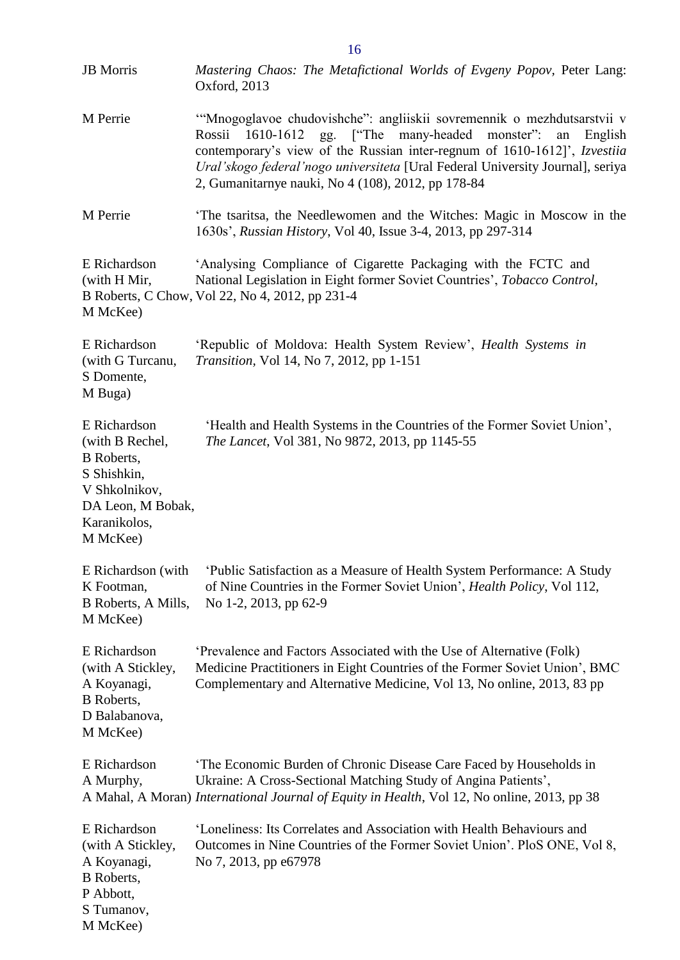| <b>JB</b> Morris                                                                                                                      | Mastering Chaos: The Metafictional Worlds of Evgeny Popov, Peter Lang:<br>Oxford, 2013                                                                                                                                                                                                                                                                                 |
|---------------------------------------------------------------------------------------------------------------------------------------|------------------------------------------------------------------------------------------------------------------------------------------------------------------------------------------------------------------------------------------------------------------------------------------------------------------------------------------------------------------------|
| M Perrie                                                                                                                              | "Mnogoglavoe chudovishche": angliiskii sovremennik o mezhdutsarstvii v<br>gg. ["The many-headed monster":<br>1610-1612<br>Rossii<br>an<br>English<br>contemporary's view of the Russian inter-regnum of 1610-1612]', Izvestiia<br>Ural'skogo federal'nogo universiteta [Ural Federal University Journal], seriya<br>2, Gumanitarnye nauki, No 4 (108), 2012, pp 178-84 |
| M Perrie                                                                                                                              | The tsaritsa, the Needlewomen and the Witches: Magic in Moscow in the<br>1630s', Russian History, Vol 40, Issue 3-4, 2013, pp 297-314                                                                                                                                                                                                                                  |
| E Richardson<br>(with H Mir,<br>M McKee)                                                                                              | 'Analysing Compliance of Cigarette Packaging with the FCTC and<br>National Legislation in Eight former Soviet Countries', Tobacco Control,<br>B Roberts, C Chow, Vol 22, No 4, 2012, pp 231-4                                                                                                                                                                          |
| E Richardson<br>(with G Turcanu,<br>S Domente,<br>M Buga)                                                                             | 'Republic of Moldova: Health System Review', Health Systems in<br>Transition, Vol 14, No 7, 2012, pp 1-151                                                                                                                                                                                                                                                             |
| E Richardson<br>(with B Rechel,<br><b>B</b> Roberts,<br>S Shishkin,<br>V Shkolnikov,<br>DA Leon, M Bobak,<br>Karanikolos,<br>M McKee) | 'Health and Health Systems in the Countries of the Former Soviet Union',<br>The Lancet, Vol 381, No 9872, 2013, pp 1145-55                                                                                                                                                                                                                                             |
| K Footman,<br>B Roberts, A Mills,<br>M McKee)                                                                                         | E Richardson (with 'Public Satisfaction as a Measure of Health System Performance: A Study<br>of Nine Countries in the Former Soviet Union', <i>Health Policy</i> , Vol 112,<br>No 1-2, 2013, pp 62-9                                                                                                                                                                  |
| E Richardson<br>(with A Stickley,<br>A Koyanagi,<br>B Roberts,<br>D Balabanova,<br>M McKee)                                           | 'Prevalence and Factors Associated with the Use of Alternative (Folk)<br>Medicine Practitioners in Eight Countries of the Former Soviet Union', BMC<br>Complementary and Alternative Medicine, Vol 13, No online, 2013, 83 pp                                                                                                                                          |
| E Richardson<br>A Murphy,                                                                                                             | 'The Economic Burden of Chronic Disease Care Faced by Households in<br>Ukraine: A Cross-Sectional Matching Study of Angina Patients',<br>A Mahal, A Moran) International Journal of Equity in Health, Vol 12, No online, 2013, pp 38                                                                                                                                   |
| E Richardson<br>(with A Stickley,<br>A Koyanagi,<br><b>B</b> Roberts,<br>P Abbott,<br>S Tumanov,<br>M McKee)                          | 'Loneliness: Its Correlates and Association with Health Behaviours and<br>Outcomes in Nine Countries of the Former Soviet Union'. PloS ONE, Vol 8,<br>No 7, 2013, pp e67978                                                                                                                                                                                            |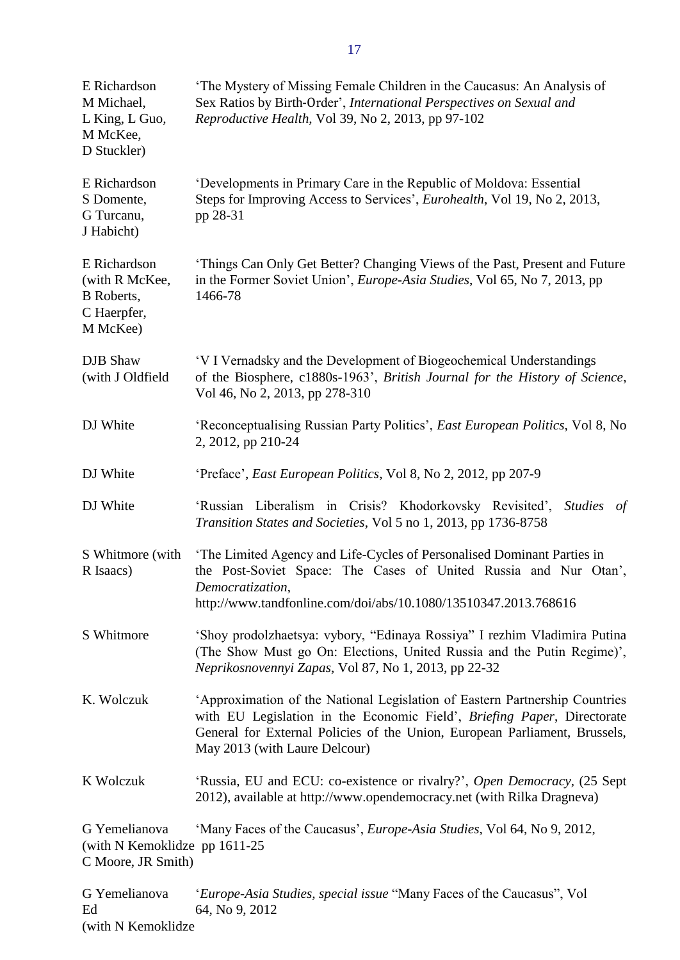| E Richardson<br>M Michael,<br>L King, L Guo,<br>M McKee,<br>D Stuckler)        | 'The Mystery of Missing Female Children in the Caucasus: An Analysis of<br>Sex Ratios by Birth-Order', International Perspectives on Sexual and<br>Reproductive Health, Vol 39, No 2, 2013, pp 97-102                                                                 |
|--------------------------------------------------------------------------------|-----------------------------------------------------------------------------------------------------------------------------------------------------------------------------------------------------------------------------------------------------------------------|
| E Richardson<br>S Domente,<br>G Turcanu,<br>J Habicht)                         | 'Developments in Primary Care in the Republic of Moldova: Essential<br>Steps for Improving Access to Services', Eurohealth, Vol 19, No 2, 2013,<br>pp 28-31                                                                                                           |
| E Richardson<br>(with R McKee,<br><b>B</b> Roberts,<br>C Haerpfer,<br>M McKee) | 'Things Can Only Get Better? Changing Views of the Past, Present and Future<br>in the Former Soviet Union', <i>Europe-Asia Studies</i> , Vol 65, No 7, 2013, pp<br>1466-78                                                                                            |
| <b>DJB</b> Shaw<br>(with J Oldfield                                            | 'V I Vernadsky and the Development of Biogeochemical Understandings<br>of the Biosphere, c1880s-1963', British Journal for the History of Science,<br>Vol 46, No 2, 2013, pp 278-310                                                                                  |
| DJ White                                                                       | 'Reconceptualising Russian Party Politics', <i>East European Politics</i> , Vol 8, No<br>2, 2012, pp 210-24                                                                                                                                                           |
| DJ White                                                                       | 'Preface', East European Politics, Vol 8, No 2, 2012, pp 207-9                                                                                                                                                                                                        |
| DJ White                                                                       | 'Russian Liberalism in Crisis? Khodorkovsky Revisited',<br><i>Studies</i><br>of<br>Transition States and Societies, Vol 5 no 1, 2013, pp 1736-8758                                                                                                                    |
| S Whitmore (with<br>R Isaacs)                                                  | 'The Limited Agency and Life-Cycles of Personalised Dominant Parties in<br>the Post-Soviet Space: The Cases of United Russia and Nur Otan',<br>Democratization,<br>http://www.tandfonline.com/doi/abs/10.1080/13510347.2013.768616                                    |
| S Whitmore                                                                     | 'Shoy prodolzhaetsya: vybory, "Edinaya Rossiya" I rezhim Vladimira Putina<br>(The Show Must go On: Elections, United Russia and the Putin Regime)',<br>Neprikosnovennyi Zapas, Vol 87, No 1, 2013, pp 22-32                                                           |
| K. Wolczuk                                                                     | 'Approximation of the National Legislation of Eastern Partnership Countries<br>with EU Legislation in the Economic Field', Briefing Paper, Directorate<br>General for External Policies of the Union, European Parliament, Brussels,<br>May 2013 (with Laure Delcour) |
| K Wolczuk                                                                      | 'Russia, EU and ECU: co-existence or rivalry?', Open Democracy, (25 Sept<br>2012), available at http://www.opendemocracy.net (with Rilka Dragneva)                                                                                                                    |
| G Yemelianova<br>(with N Kemoklidze pp 1611-25)<br>C Moore, JR Smith)          | 'Many Faces of the Caucasus', Europe-Asia Studies, Vol 64, No 9, 2012,                                                                                                                                                                                                |
| G Yemelianova<br>Ed                                                            | 'Europe-Asia Studies, special issue "Many Faces of the Caucasus", Vol<br>64, No 9, 2012                                                                                                                                                                               |

(with N Kemoklidze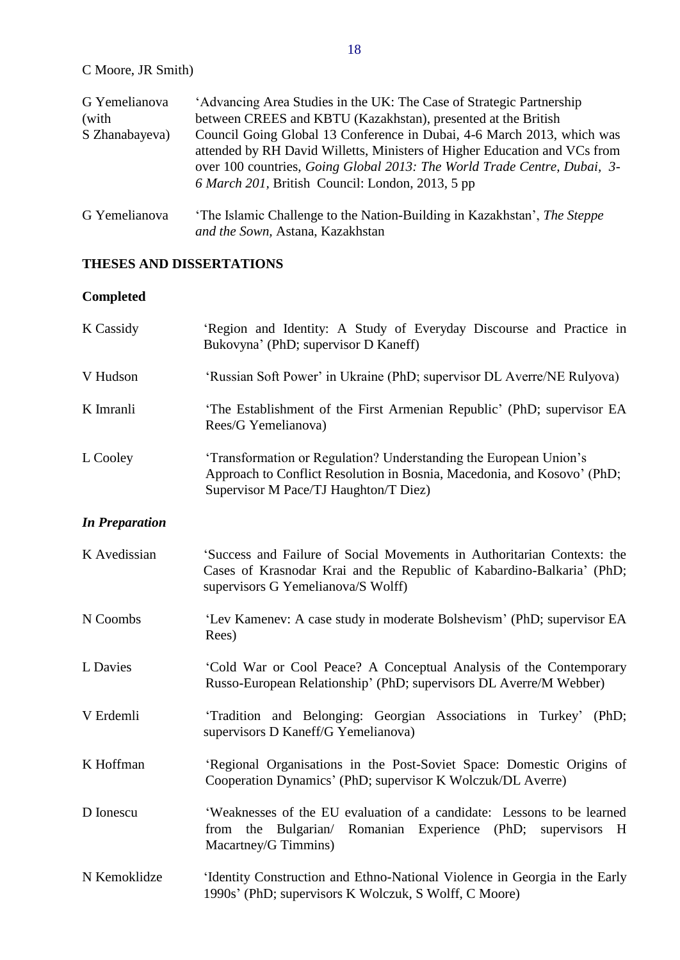| G Yemelianova  | 'Advancing Area Studies in the UK: The Case of Strategic Partnership                                                                                                                                                                                                                |
|----------------|-------------------------------------------------------------------------------------------------------------------------------------------------------------------------------------------------------------------------------------------------------------------------------------|
| (with          | between CREES and KBTU (Kazakhstan), presented at the British                                                                                                                                                                                                                       |
| S Zhanabayeva) | Council Going Global 13 Conference in Dubai, 4-6 March 2013, which was<br>attended by RH David Willetts, Ministers of Higher Education and VCs from<br>over 100 countries, Going Global 2013: The World Trade Centre, Dubai, 3-<br>6 March 201, British Council: London, 2013, 5 pp |
| G Yemelianova  | 'The Islamic Challenge to the Nation-Building in Kazakhstan', The Steppe<br>and the Sown, Astana, Kazakhstan                                                                                                                                                                        |

# <span id="page-17-0"></span>**THESES AND DISSERTATIONS**

# <span id="page-17-1"></span>**Completed**

<span id="page-17-2"></span>

| K Cassidy             | 'Region and Identity: A Study of Everyday Discourse and Practice in<br>Bukovyna' (PhD; supervisor D Kaneff)                                                                            |
|-----------------------|----------------------------------------------------------------------------------------------------------------------------------------------------------------------------------------|
| V Hudson              | 'Russian Soft Power' in Ukraine (PhD; supervisor DL Averre/NE Rulyova)                                                                                                                 |
| K Imranli             | 'The Establishment of the First Armenian Republic' (PhD; supervisor EA<br>Rees/G Yemelianova)                                                                                          |
| L Cooley              | 'Transformation or Regulation? Understanding the European Union's<br>Approach to Conflict Resolution in Bosnia, Macedonia, and Kosovo' (PhD;<br>Supervisor M Pace/TJ Haughton/T Diez)  |
| <b>In Preparation</b> |                                                                                                                                                                                        |
| K Avedissian          | 'Success and Failure of Social Movements in Authoritarian Contexts: the<br>Cases of Krasnodar Krai and the Republic of Kabardino-Balkaria' (PhD;<br>supervisors G Yemelianova/S Wolff) |
| N Coombs              | 'Lev Kamenev: A case study in moderate Bolshevism' (PhD; supervisor EA<br>Rees)                                                                                                        |
| L Davies              | 'Cold War or Cool Peace? A Conceptual Analysis of the Contemporary<br>Russo-European Relationship' (PhD; supervisors DL Averre/M Webber)                                               |
| V Erdemli             | 'Tradition and Belonging: Georgian Associations in Turkey' (PhD;<br>supervisors D Kaneff/G Yemelianova)                                                                                |
| K Hoffman             | 'Regional Organisations in the Post-Soviet Space: Domestic Origins of<br>Cooperation Dynamics' (PhD; supervisor K Wolczuk/DL Averre)                                                   |
| D Ionescu             | 'Weaknesses of the EU evaluation of a candidate: Lessons to be learned<br>Romanian Experience (PhD;<br>Bulgarian/<br>from<br>the<br>supervisors<br>H<br>Macartney/G Timmins)           |
| N Kemoklidze          | 'Identity Construction and Ethno-National Violence in Georgia in the Early<br>1990s' (PhD; supervisors K Wolczuk, S Wolff, C Moore)                                                    |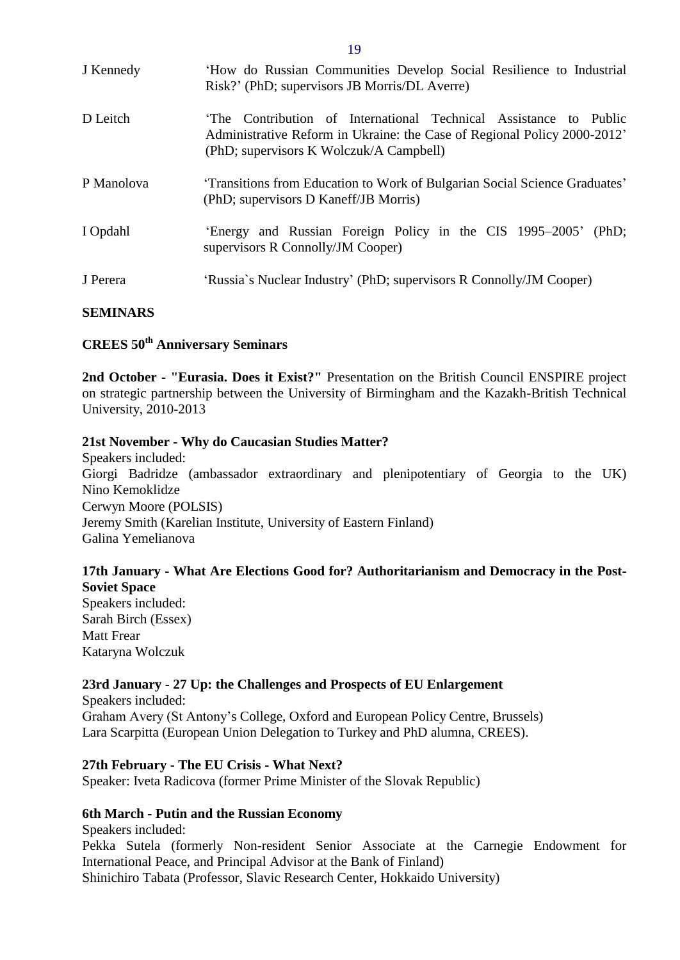| J Kennedy  | 'How do Russian Communities Develop Social Resilience to Industrial<br>Risk?' (PhD; supervisors JB Morris/DL Averre)                                                                   |
|------------|----------------------------------------------------------------------------------------------------------------------------------------------------------------------------------------|
| D Leitch   | The Contribution of International Technical Assistance to Public<br>Administrative Reform in Ukraine: the Case of Regional Policy 2000-2012<br>(PhD; supervisors K Wolczuk/A Campbell) |
| P Manolova | 'Transitions from Education to Work of Bulgarian Social Science Graduates'<br>(PhD; supervisors D Kaneff/JB Morris)                                                                    |
| I Opdahl   | 'Energy and Russian Foreign Policy in the CIS 1995–2005' (PhD;<br>supervisors R Connolly/JM Cooper)                                                                                    |
| J Perera   | 'Russia's Nuclear Industry' (PhD; supervisors R Connolly/JM Cooper)                                                                                                                    |

#### <span id="page-18-0"></span>**SEMINARS**

# <span id="page-18-1"></span>**CREES 50th Anniversary Seminars**

**2nd October - "Eurasia. Does it Exist?"** Presentation on the British Council ENSPIRE project on strategic partnership between the University of Birmingham and the Kazakh-British Technical University, 2010-2013

#### **21st November - Why do Caucasian Studies Matter?**

Speakers included: Giorgi Badridze (ambassador extraordinary and plenipotentiary of Georgia to the UK) Nino Kemoklidze Cerwyn Moore (POLSIS) Jeremy Smith (Karelian Institute, University of Eastern Finland) Galina Yemelianova

#### **17th January - What Are Elections Good for? Authoritarianism and Democracy in the Post-Soviet Space**

Speakers included: Sarah Birch (Essex) Matt Frear Kataryna Wolczuk

# **23rd January - 27 Up: the Challenges and Prospects of EU Enlargement**

Speakers included: Graham Avery (St Antony's College, Oxford and European Policy Centre, Brussels) Lara Scarpitta (European Union Delegation to Turkey and PhD alumna, CREES).

#### **27th February - The EU Crisis - What Next?**

Speaker: Iveta Radicova (former Prime Minister of the Slovak Republic)

#### **6th March - Putin and the Russian Economy**

Speakers included: Pekka Sutela (formerly Non-resident Senior Associate at the Carnegie Endowment for International Peace, and Principal Advisor at the Bank of Finland) Shinichiro Tabata (Professor, Slavic Research Center, Hokkaido University)

19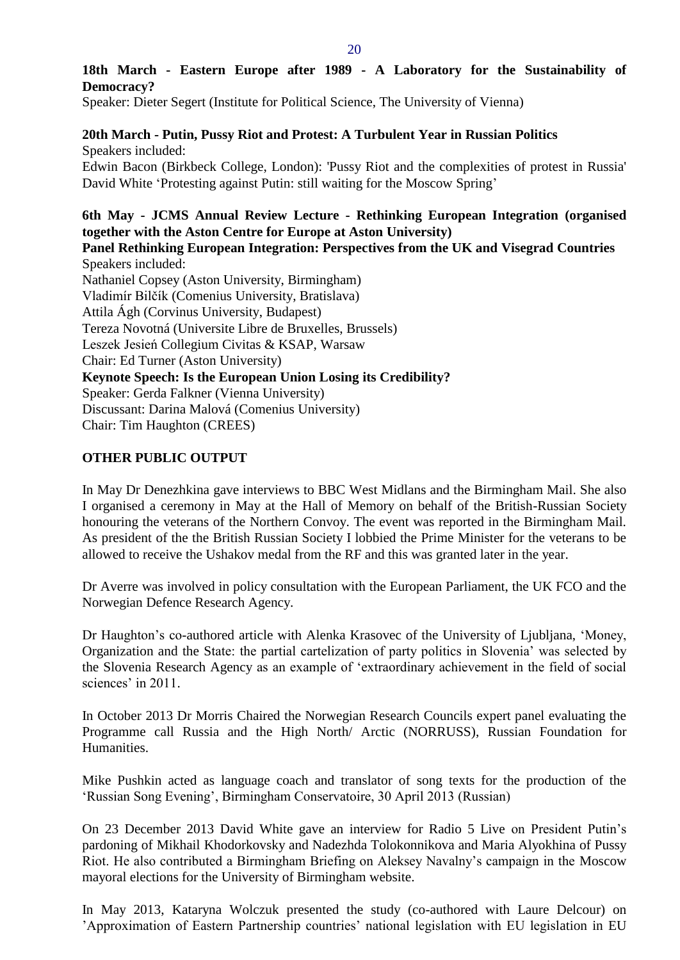# **18th March - Eastern Europe after 1989 - A Laboratory for the Sustainability of Democracy?**

Speaker: Dieter Segert (Institute for Political Science, The University of Vienna)

**20th March - Putin, Pussy Riot and Protest: A Turbulent Year in Russian Politics** Speakers included:

Edwin Bacon (Birkbeck College, London): 'Pussy Riot and the complexities of protest in Russia' David White 'Protesting against Putin: still waiting for the Moscow Spring'

# **6th May - JCMS Annual Review Lecture - Rethinking European Integration (organised together with the Aston Centre for Europe at Aston University)**

**Panel Rethinking European Integration: Perspectives from the UK and Visegrad Countries** Speakers included: Nathaniel Copsey (Aston University, Birmingham) Vladimír Bilčík (Comenius University, Bratislava) Attila Ágh (Corvinus University, Budapest) Tereza Novotná (Universite Libre de Bruxelles, Brussels) Leszek Jesień Collegium Civitas & KSAP, Warsaw Chair: Ed Turner (Aston University) **Keynote Speech: Is the European Union Losing its Credibility?** Speaker: Gerda Falkner (Vienna University)

Discussant: Darina Malová (Comenius University)

Chair: Tim Haughton (CREES)

# <span id="page-19-0"></span>**OTHER PUBLIC OUTPUT**

In May Dr Denezhkina gave interviews to BBC West Midlans and the Birmingham Mail. She also I organised a ceremony in May at the Hall of Memory on behalf of the British-Russian Society honouring the veterans of the Northern Convoy. The event was reported in the Birmingham Mail. As president of the the British Russian Society I lobbied the Prime Minister for the veterans to be allowed to receive the Ushakov medal from the RF and this was granted later in the year.

Dr Averre was involved in policy consultation with the European Parliament, the UK FCO and the Norwegian Defence Research Agency.

Dr Haughton's co-authored article with Alenka Krasovec of the University of Ljubljana, 'Money, Organization and the State: the partial cartelization of party politics in Slovenia' was selected by the Slovenia Research Agency as an example of 'extraordinary achievement in the field of social sciences' in 2011.

In October 2013 Dr Morris Chaired the Norwegian Research Councils expert panel evaluating the Programme call Russia and the High North/ Arctic (NORRUSS), Russian Foundation for Humanities.

Mike Pushkin acted as language coach and translator of song texts for the production of the 'Russian Song Evening', Birmingham Conservatoire, 30 April 2013 (Russian)

On 23 December 2013 David White gave an interview for Radio 5 Live on President Putin's pardoning of Mikhail Khodorkovsky and Nadezhda Tolokonnikova and Maria Alyokhina of Pussy Riot. He also contributed a Birmingham Briefing on Aleksey Navalny's campaign in the Moscow mayoral elections for the University of Birmingham website.

In May 2013, Kataryna Wolczuk presented the study (co-authored with Laure Delcour) on 'Approximation of Eastern Partnership countries' national legislation with EU legislation in EU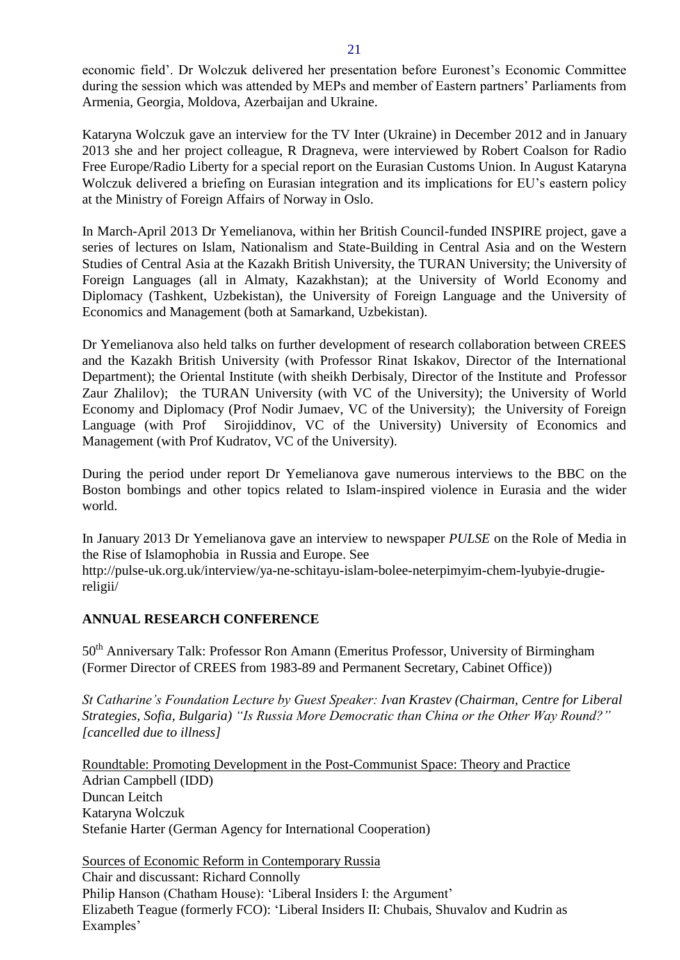economic field'. Dr Wolczuk delivered her presentation before Euronest's Economic Committee during the session which was attended by MEPs and member of Eastern partners' Parliaments from Armenia, Georgia, Moldova, Azerbaijan and Ukraine.

Kataryna Wolczuk gave an interview for the TV Inter (Ukraine) in December 2012 and in January 2013 she and her project colleague, R Dragneva, were interviewed by Robert Coalson for Radio Free Europe/Radio Liberty for a special report on the Eurasian Customs Union. In August Kataryna Wolczuk delivered a briefing on Eurasian integration and its implications for EU's eastern policy at the Ministry of Foreign Affairs of Norway in Oslo.

In March-April 2013 Dr Yemelianova, within her British Council-funded INSPIRE project, gave a series of lectures on Islam, Nationalism and State-Building in Central Asia and on the Western Studies of Central Asia at the Kazakh British University, the TURAN University; the University of Foreign Languages (all in Almaty, Kazakhstan); at the University of World Economy and Diplomacy (Tashkent, Uzbekistan), the University of Foreign Language and the University of Economics and Management (both at Samarkand, Uzbekistan).

Dr Yemelianova also held talks on further development of research collaboration between CREES and the Kazakh British University (with Professor Rinat Iskakov, Director of the International Department); the Oriental Institute (with sheikh Derbisaly, Director of the Institute and Professor Zaur Zhalilov); the TURAN University (with VC of the University); the University of World Economy and Diplomacy (Prof Nodir Jumaev, VC of the University); the University of Foreign Language (with Prof Sirojiddinov, VC of the University) University of Economics and Management (with Prof Kudratov, VC of the University).

During the period under report Dr Yemelianova gave numerous interviews to the BBC on the Boston bombings and other topics related to Islam-inspired violence in Eurasia and the wider world.

In January 2013 Dr Yemelianova gave an interview to newspaper *PULSE* on the Role of Media in the Rise of Islamophobia in Russia and Europe. See

http://pulse-uk.org.uk/interview/ya-ne-schitayu-islam-bolee-neterpimyim-chem-lyubyie-drugiereligii/

# <span id="page-20-0"></span>**ANNUAL RESEARCH CONFERENCE**

50<sup>th</sup> Anniversary Talk: Professor Ron Amann (Emeritus Professor, University of Birmingham (Former Director of CREES from 1983-89 and Permanent Secretary, Cabinet Office))

*St Catharine's Foundation Lecture by Guest Speaker: Ivan Krastev (Chairman, Centre for Liberal Strategies, Sofia, Bulgaria) "Is Russia More Democratic than China or the Other Way Round?" [cancelled due to illness]*

Roundtable: Promoting Development in the Post-Communist Space: Theory and Practice Adrian Campbell (IDD) Duncan Leitch Kataryna Wolczuk Stefanie Harter (German Agency for International Cooperation)

Sources of Economic Reform in Contemporary Russia Chair and discussant: Richard Connolly Philip Hanson (Chatham House): 'Liberal Insiders I: the Argument' Elizabeth Teague (formerly FCO): 'Liberal Insiders II: Chubais, Shuvalov and Kudrin as Examples'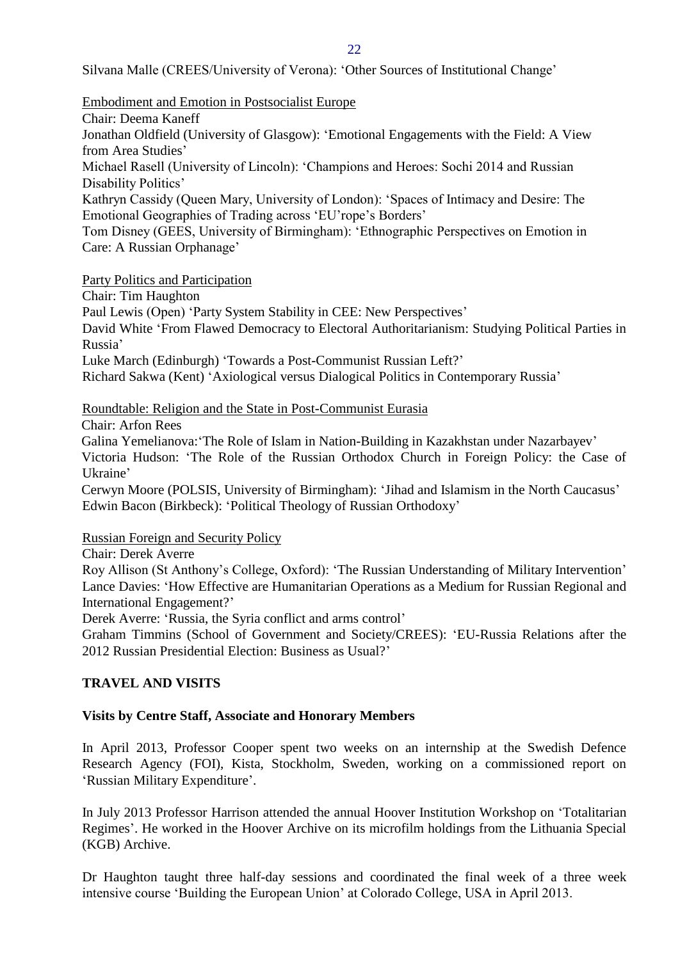22

Silvana Malle (CREES/University of Verona): 'Other Sources of Institutional Change'

Embodiment and Emotion in Postsocialist Europe

Chair: Deema Kaneff

Jonathan Oldfield (University of Glasgow): 'Emotional Engagements with the Field: A View from Area Studies'

Michael Rasell (University of Lincoln): 'Champions and Heroes: Sochi 2014 and Russian Disability Politics'

Kathryn Cassidy (Queen Mary, University of London): 'Spaces of Intimacy and Desire: The Emotional Geographies of Trading across 'EU'rope's Borders'

Tom Disney (GEES, University of Birmingham): 'Ethnographic Perspectives on Emotion in Care: A Russian Orphanage'

Party Politics and Participation

Chair: Tim Haughton

Paul Lewis (Open) 'Party System Stability in CEE: New Perspectives'

David White 'From Flawed Democracy to Electoral Authoritarianism: Studying Political Parties in Russia'

Luke March (Edinburgh) 'Towards a Post-Communist Russian Left?'

Richard Sakwa (Kent) 'Axiological versus Dialogical Politics in Contemporary Russia'

Roundtable: Religion and the State in Post-Communist Eurasia

Chair: Arfon Rees

Galina Yemelianova:'The Role of Islam in Nation-Building in Kazakhstan under Nazarbayev' Victoria Hudson: 'The Role of the Russian Orthodox Church in Foreign Policy: the Case of Ukraine'

Cerwyn Moore (POLSIS, University of Birmingham): 'Jihad and Islamism in the North Caucasus' Edwin Bacon (Birkbeck): 'Political Theology of Russian Orthodoxy'

Russian Foreign and Security Policy

Chair: Derek Averre

Roy Allison (St Anthony's College, Oxford): 'The Russian Understanding of Military Intervention' Lance Davies: 'How Effective are Humanitarian Operations as a Medium for Russian Regional and International Engagement?'

Derek Averre: 'Russia, the Syria conflict and arms control'

Graham Timmins (School of Government and Society/CREES): 'EU-Russia Relations after the 2012 Russian Presidential Election: Business as Usual?'

# <span id="page-21-0"></span>**TRAVEL AND VISITS**

# <span id="page-21-1"></span>**Visits by Centre Staff, Associate and Honorary Members**

In April 2013, Professor Cooper spent two weeks on an internship at the Swedish Defence Research Agency (FOI), Kista, Stockholm, Sweden, working on a commissioned report on 'Russian Military Expenditure'.

In July 2013 Professor Harrison attended the annual Hoover Institution Workshop on 'Totalitarian Regimes'. He worked in the Hoover Archive on its microfilm holdings from the Lithuania Special (KGB) Archive.

Dr Haughton taught three half-day sessions and coordinated the final week of a three week intensive course 'Building the European Union' at Colorado College, USA in April 2013.